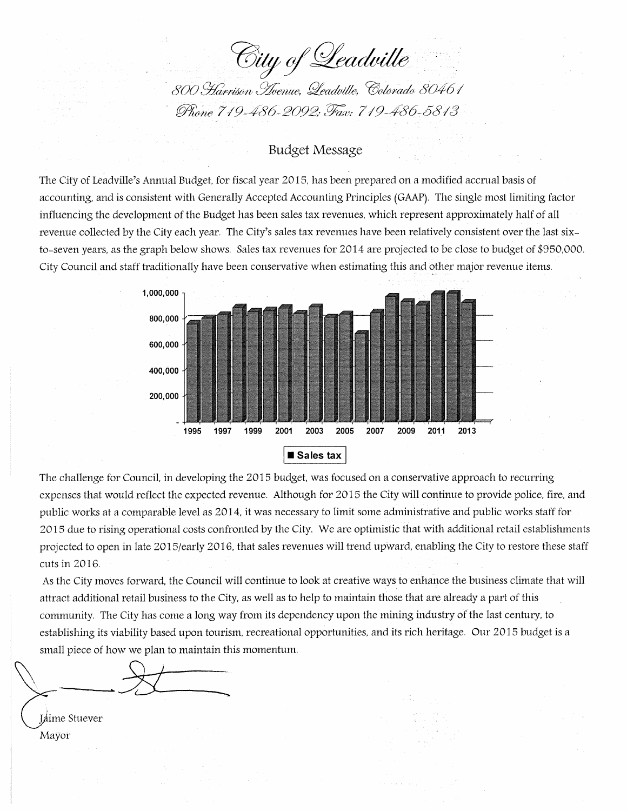City of Leadville

800 Harrison Avenue, Leadville, Colorado 80461 Phone 719-486-2092; Fax: 719-486-5813

# **Budget Message**

The City of Leadville's Annual Budget, for fiscal year 2015, has been prepared on a modified accrual basis of accounting, and is consistent with Generally Accepted Accounting Principles (GAAP). The single most limiting factor influencing the development of the Budget has been sales tax revenues, which represent approximately half of all revenue collected by the City each year. The City's sales tax revenues have been relatively consistent over the last sixto-seven years, as the graph below shows. Sales tax revenues for 2014 are projected to be close to budget of \$950,000. City Council and staff traditionally have been conservative when estimating this and other major revenue items.



The challenge for Council, in developing the 2015 budget, was focused on a conservative approach to recurring expenses that would reflect the expected revenue. Although for 2015 the City will continue to provide police, fire, and public works at a comparable level as 2014, it was necessary to limit some administrative and public works staff for 2015 due to rising operational costs confronted by the City. We are optimistic that with additional retail establishments projected to open in late 2015/early 2016, that sales revenues will trend upward, enabling the City to restore these staff cuts in 2016.

As the City moves forward, the Council will continue to look at creative ways to enhance the business climate that will attract additional retail business to the City, as well as to help to maintain those that are already a part of this community. The City has come a long way from its dependency upon the mining industry of the last century, to establishing its viability based upon tourism, recreational opportunities, and its rich heritage. Our 2015 budget is a small piece of how we plan to maintain this momentum.

Jaime Stuever Mayor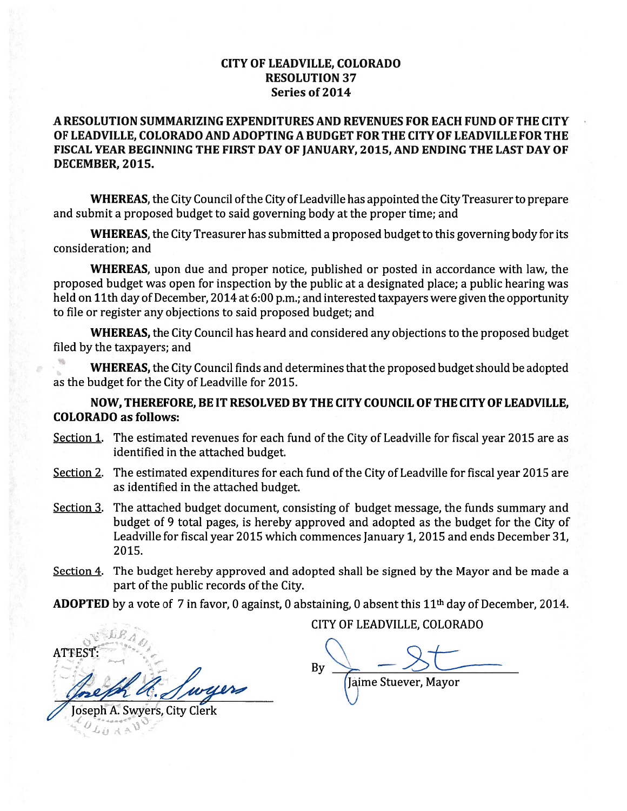## **CITY OF LEADVILLE, COLORADO RESOLUTION 37** Series of 2014

# A RESOLUTION SUMMARIZING EXPENDITURES AND REVENUES FOR EACH FUND OF THE CITY OF LEADVILLE, COLORADO AND ADOPTING A BUDGET FOR THE CITY OF LEADVILLE FOR THE FISCAL YEAR BEGINNING THE FIRST DAY OF JANUARY, 2015, AND ENDING THE LAST DAY OF DECEMBER, 2015.

WHEREAS, the City Council of the City of Leadville has appointed the City Treasurer to prepare and submit a proposed budget to said governing body at the proper time; and

WHEREAS, the City Treasurer has submitted a proposed budget to this governing body for its consideration; and

WHEREAS, upon due and proper notice, published or posted in accordance with law, the proposed budget was open for inspection by the public at a designated place; a public hearing was held on 11th day of December, 2014 at 6:00 p.m.; and interested taxpayers were given the opportunity to file or register any objections to said proposed budget; and

WHEREAS, the City Council has heard and considered any objections to the proposed budget filed by the taxpayers; and

WHEREAS, the City Council finds and determines that the proposed budget should be adopted as the budget for the City of Leadville for 2015.

# NOW, THEREFORE, BE IT RESOLVED BY THE CITY COUNCIL OF THE CITY OF LEADVILLE, **COLORADO as follows:**

- Section 1. The estimated revenues for each fund of the City of Leadville for fiscal year 2015 are as identified in the attached budget.
- Section 2. The estimated expenditures for each fund of the City of Leadville for fiscal year 2015 are as identified in the attached budget.
- Section 3. The attached budget document, consisting of budget message, the funds summary and budget of 9 total pages, is hereby approved and adopted as the budget for the City of Leadville for fiscal year 2015 which commences January 1, 2015 and ends December 31, 2015.
- Section 4. The budget hereby approved and adopted shall be signed by the Mayor and be made a part of the public records of the City.

**ADOPTED** by a vote of 7 in favor, 0 against, 0 abstaining, 0 absent this  $11<sup>th</sup>$  day of December, 2014.

ATTEST Joseph A. Swyers, City Clerk

CITY OF LEADVILLE, COLORADO

By Jaime Stuever, Mayor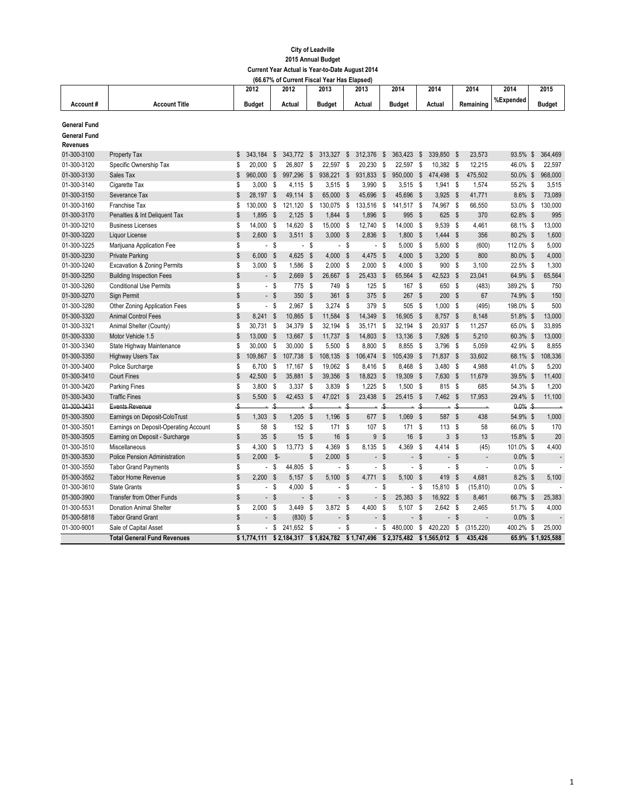### **City of Leadville 2015 Annual Budget Current Year Actual is Year-to-Date August 2014**

|                                                        |                                       |              |                          |                           | (66.67% of Current Fiscal Year Has Elapsed) |                |                          |                           |                          |                           |                          |                           |                          |            |                | 2014       |                           | 2015              |
|--------------------------------------------------------|---------------------------------------|--------------|--------------------------|---------------------------|---------------------------------------------|----------------|--------------------------|---------------------------|--------------------------|---------------------------|--------------------------|---------------------------|--------------------------|------------|----------------|------------|---------------------------|-------------------|
|                                                        |                                       |              | 2012                     |                           | 2012                                        |                | 2013                     |                           | 2013                     |                           | 2014                     |                           | 2014                     |            | 2014           |            |                           |                   |
| Account#                                               | <b>Account Title</b>                  |              | <b>Budget</b>            |                           | Actual                                      |                | <b>Budget</b>            |                           | Actual                   |                           | <b>Budget</b>            |                           | Actual                   |            | Remaining      | %Expended  |                           | <b>Budget</b>     |
| <b>General Fund</b><br><b>General Fund</b><br>Revenues |                                       |              |                          |                           |                                             |                |                          |                           |                          |                           |                          |                           |                          |            |                |            |                           |                   |
| 01-300-3100                                            | Property Tax                          | \$           | 343.184                  | S                         | 343.772                                     | \$             | 313,327                  | \$                        | 312,376                  | \$                        | 363,423                  | \$                        | 339,850 \$               |            | 23,573         | 93.5%      | $\boldsymbol{\mathsf{s}}$ | 364,469           |
| 01-300-3120                                            | Specific Ownership Tax                | \$           | 20.000                   | S                         | 26,807                                      | S              | 22,597                   | \$                        | 20.230                   | $\mathsf{\$}$             | 22,597                   | \$                        | 10,382 \$                |            | 12,215         | 46.0%      | $\sqrt{2}$                | 22,597            |
| 01-300-3130                                            | Sales Tax                             | $\mathbb{S}$ | 960.000                  | $\sqrt{2}$                | 997.296                                     | $\mathsf{\$}$  | 938.221                  | $\boldsymbol{\mathsf{s}}$ | 931,833                  | $\boldsymbol{\mathsf{s}}$ | 950,000                  | $\boldsymbol{\mathsf{s}}$ | 474,498                  | \$         | 475,502        | 50.0% \$   |                           | 968,000           |
| 01-300-3140                                            | Cigarette Tax                         | \$           | 3,000                    | $\hat{\mathbf{s}}$        | 4,115                                       | - \$           | $3,515$ \$               |                           | $3,990$ \$               |                           | $3,515$ \$               |                           | $1,941$ \$               |            | 1,574          | 55.2% \$   |                           | 3,515             |
| 01-300-3150                                            | Severance Tax                         | \$           | 28,197                   | -\$                       | 49,114                                      | \$             | 65,000                   | $\boldsymbol{\mathsf{s}}$ | 45,696                   | $\boldsymbol{\mathsf{s}}$ | 45,696                   | <b>S</b>                  | 3,925                    | - \$       | 41,771         | 8.6% \$    |                           | 73,089            |
| 01-300-3160                                            | <b>Franchise Tax</b>                  | \$           | 130,000                  | - \$                      | 121,120                                     | \$             | 130,075                  | - \$                      | 133,516 \$               |                           | 141,517 \$               |                           | 74,967 \$                |            | 66,550         | 53.0% \$   |                           | 130,000           |
| 01-300-3170                                            | Penalties & Int Deliquent Tax         | \$           | 1,895                    | \$                        | 2,125                                       | $\mathsf{\$}$  | 1,844                    | \$                        | 1,896 \$                 |                           | 995                      | -\$                       | 625 \$                   |            | 370            | 62.8% \$   |                           | 995               |
| 01-300-3210                                            | <b>Business Licenses</b>              | \$           | 14,000 \$                |                           | 14,620                                      | \$             | 15,000                   | - \$                      | 12,740 \$                |                           | 14,000                   | - S                       | 9,539 \$                 |            | 4,461          | 68.1% \$   |                           | 13,000            |
| 01-300-3220                                            | Liquor License                        | \$           | $2,600$ \$               |                           | $3,511$ \$                                  |                | $3,000$ \$               |                           | 2,836 \$                 |                           | 1,800                    | - \$                      | $1,444$ \$               |            | 356            | 80.2% \$   |                           | 1,600             |
| 01-300-3225                                            | Marijuana Application Fee             | \$           |                          | - \$                      | $\overline{\phantom{a}}$                    | \$             |                          | - \$                      |                          | $-$ \$                    | 5,000                    | - \$                      | 5,600 \$                 |            | (600)          | 112.0% \$  |                           | 5,000             |
| 01-300-3230                                            | <b>Private Parking</b>                | \$           | $6,000$ \$               |                           | 4,625                                       | $\mathsf{\$}$  | 4,000                    | \$                        | 4,475 \$                 |                           | 4,000                    | \$                        | $3,200$ \$               |            | 800            | 80.0% \$   |                           | 4,000             |
| 01-300-3240                                            | Excavation & Zoning Permits           | \$           | 3,000S                   |                           | 1,586                                       | S              | $2,000$ \$               |                           | $2,000$ \$               |                           | 4,000 \$                 |                           | 900 \$                   |            | 3,100          | 22.5% \$   |                           | 1,300             |
| 01-300-3250                                            | <b>Building Inspection Fees</b>       | \$           |                          | - \$                      | 2.669                                       | $\mathsf{\$}$  | 26,667                   | - \$                      | 25,433 \$                |                           | 65,564                   | $\mathsf{s}$              | 42,523                   | <b>S</b>   | 23,041         | 64.9% \$   |                           | 65,564            |
| 01-300-3260                                            | <b>Conditional Use Permits</b>        | \$           |                          | $-$ \$                    | 775                                         | $\mathsf{\$}$  | 749                      | - \$                      | 125S                     |                           | 167                      | - \$                      | 650 \$                   |            | (483)          | 389.2% \$  |                           | 750               |
| 01-300-3270                                            | Sign Permit                           | \$           |                          | $-$ \$                    | 350                                         | \$             | 361 \$                   |                           | 375 \$                   |                           | 267                      | -\$                       | 200S                     |            | 67             | 74.9% \$   |                           | 150               |
| 01-300-3280                                            | Other Zoning Application Fees         | \$           |                          | - \$                      | 2,967                                       | \$             | $3,274$ \$               |                           | 379 \$                   |                           | 505                      | - \$                      | $1,000$ \$               |            | (495)          | 198.0% \$  |                           | 500               |
| 01-300-3320                                            | <b>Animal Control Fees</b>            | \$           | 8,241                    | $\mathbf{s}$              | 10,865                                      | $\mathsf{s}$   | 11,584                   | \$                        | 14,349 \$                |                           | 16,905                   | - \$                      | 8,757 \$                 |            | 8,148          | 51.8% \$   |                           | 13,000            |
| 01-300-3321                                            | Animal Shelter (County)               | \$           | 30,731                   | -S                        | 34,379                                      | S              | 32,194                   | - S                       | 35,171                   | <b>S</b>                  | 32,194                   | -S                        | 20,937 \$                |            | 11,257         | 65.0% \$   |                           | 33,895            |
| 01-300-3330                                            | Motor Vehicle 1.5                     | \$           | 13,000 \$                |                           | 13,667                                      | \$             | 11,737                   | \$                        | 14,803 \$                |                           | 13,136                   | \$                        | 7,926 \$                 |            | 5,210          | 60.3% \$   |                           | 13,000            |
| 01-300-3340                                            | State Highway Maintenance             | \$           | 30,000 \$                |                           | 30,000                                      | S              | 5,500 \$                 |                           | 8,800 \$                 |                           | 8,855 \$                 |                           | $3,796$ \$               |            | 5,059          | 42.9% \$   |                           | 8,855             |
| 01-300-3350                                            | <b>Highway Users Tax</b>              | \$           | 109,867 \$               |                           | 107,738                                     | $$\mathbb{S}$$ | 108,135                  | $\sqrt{3}$                | 106,474 \$               |                           | 105,439                  | - \$                      | 71,837 \$                |            | 33,602         | 68.1% \$   |                           | 108,336           |
| 01-300-3400                                            | Police Surcharge                      | \$           | 6,700                    | - \$                      | 17,167                                      | \$             | 19,062                   | - \$                      | 8,416 \$                 |                           | 8,468                    | - \$                      | 3,480 \$                 |            | 4,988          | 41.0% \$   |                           | 5,200             |
| 01-300-3410                                            | <b>Court Fines</b>                    | \$           | 42,500                   | - \$                      | 35,881                                      | $\mathsf{\$}$  | 39,356                   | \$                        | 18,823 \$                |                           | 19,309                   | - \$                      | 7,630 \$                 |            | 11,679         | 39.5% \$   |                           | 11,400            |
| 01-300-3420                                            | Parking Fines                         | \$           | 3,800                    | - \$                      | 3,337                                       | \$             | 3,839                    | - \$                      | $1,225$ \$               |                           | 1,500                    | - \$                      | 815 \$                   |            | 685            | 54.3% \$   |                           | 1,200             |
| 01-300-3430                                            | <b>Traffic Fines</b>                  | \$           | 5,500                    | - \$                      | 42,453                                      | \$             | 47,021                   | \$                        | 23,438 \$                |                           | 25,415 \$                |                           | 7,462 \$                 |            | 17,953         | 29.4% \$   |                           | 11,100            |
| 01-300-3431                                            | Events Revenue                        | -\$          |                          | $\clubsuit$               |                                             | \$             |                          | \$                        |                          | \$                        |                          | -Ŝ                        |                          | \$         |                | $0.0\%$ \$ |                           |                   |
| 01-300-3500                                            | Earnings on Deposit-ColoTrust         | \$           | 1,303                    | $\boldsymbol{\mathsf{s}}$ | 1,205                                       | $\mathsf{\$}$  | 1,196                    | - \$                      | 677                      | $\mathsf{\$}$             | 1,069                    | - \$                      | 587 \$                   |            | 438            | 54.9% \$   |                           | 1,000             |
| 01-300-3501                                            | Earnings on Deposit-Operating Account | \$           | 58                       | - \$                      | 152                                         | -S             | 171S                     |                           | 107 \$                   |                           | 171                      | - \$                      | 113S                     |            | 58             | 66.0% \$   |                           | 170               |
| 01-300-3505                                            | Earning on Deposit - Surcharge        | \$           | 35                       | \$                        | 15                                          | $\mathsf{\$}$  | 16                       | - \$                      |                          | 9S                        | 16                       | $\boldsymbol{\mathsf{s}}$ | 3S                       |            | 13             | 15.8% \$   |                           | 20                |
| 01-300-3510                                            | Miscellaneous                         | \$           | 4,300                    | \$                        | 13,773                                      | \$             | 4,369                    | - \$                      | 8,135 \$                 |                           | 4,369                    | - \$                      | 4,414 \$                 |            | (45)           | 101.0% \$  |                           | 4,400             |
| 01-300-3530                                            | Police Pension Administration         | \$           | 2,000                    | - \$-                     |                                             | \$             | 2,000                    | - \$                      |                          | $-$ \$                    |                          | - \$                      | - \$                     |            | $\overline{a}$ | $0.0\%$ \$ |                           |                   |
| 01-300-3550                                            | <b>Tabor Grand Payments</b>           | \$           | $\overline{\phantom{a}}$ | S,                        | 44,805                                      | \$             | $\overline{\phantom{a}}$ | S,                        |                          | - \$                      | $\overline{\phantom{a}}$ | S                         | $\overline{\phantom{a}}$ | - \$       | ÷,             | $0.0\%$ \$ |                           |                   |
| 01-300-3552                                            | <b>Tabor Home Revenue</b>             | \$           | 2,200                    | - \$                      | 5,157                                       | $\mathsf{\$}$  | 5,100                    | \$                        | 4,771                    | $\mathsf{\$}$             | $5,100$ \$               |                           | 419 \$                   |            | 4,681          | 8.2% \$    |                           | 5,100             |
| 01-300-3610                                            | <b>State Grants</b>                   | \$           | $\blacksquare$           | <b>S</b>                  | 4.000                                       | S              | $\overline{\phantom{a}}$ | <b>S</b>                  | $\overline{a}$           | S                         |                          | - \$                      | 15,810                   | $\hat{\$}$ | (15, 810)      | $0.0\%$ \$ |                           |                   |
| 01-300-3900                                            | <b>Transfer from Other Funds</b>      | \$           |                          | - \$                      | $\overline{\phantom{0}}$                    | \$             | $\blacksquare$           | $\sqrt{2}$                |                          | - \$                      | 25,383                   | - \$                      | 16,922 \$                |            | 8,461          | 66.7% \$   |                           | 25,383            |
| 01-300-5531                                            | <b>Donation Animal Shelter</b>        | \$           | 2,000S                   |                           | 3,449                                       | S              | 3,872                    | - \$                      | 4,400 \$                 |                           | $5,107$ \$               |                           | $2,642$ \$               |            | 2,465          | 51.7% \$   |                           | 4,000             |
| 01-300-5818                                            | <b>Tabor Grand Grant</b>              | \$           |                          | $-$ \$                    | $(830)$ \$                                  |                | $\overline{\phantom{a}}$ | $\mathsf{\$}$             | $\overline{\phantom{a}}$ | $\boldsymbol{\mathsf{s}}$ | $\overline{\phantom{a}}$ | \$                        |                          | $-$ \$     |                | $0.0\%$ \$ |                           |                   |
| 01-300-9001                                            | Sale of Capital Asset                 | \$           |                          | - \$                      | 241,652                                     | S              | $\overline{\phantom{a}}$ | \$                        | $\sim$                   | \$                        | 480,000                  | - \$                      | 420,220                  | \$         | (315, 220)     | 400.2% \$  |                           | 25,000            |
|                                                        | <b>Total General Fund Revenues</b>    |              | \$1,774,111              |                           | \$2.184.317                                 |                | \$1,824,782              |                           | \$1,747,496              |                           | \$2,375,482              |                           | \$1.565.012              | \$         | 435.426        |            |                           | 65.9% \$1,925,588 |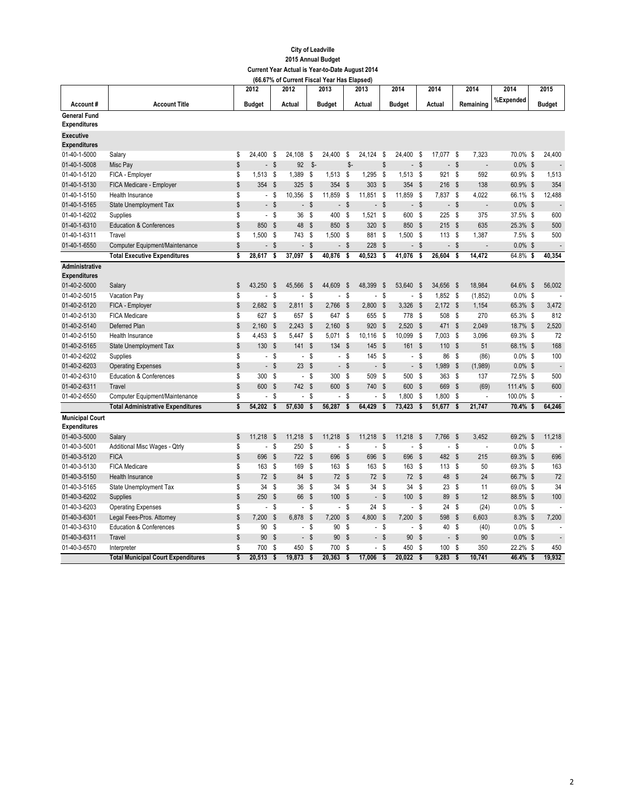|                                         |                                           |    | 2012                     |                           | 2012                     |                           | 2013                     |                           | 2013                     |                           | 2014                     |                           | 2014                     |                           | 2014                     | 2014       | 2015                     |
|-----------------------------------------|-------------------------------------------|----|--------------------------|---------------------------|--------------------------|---------------------------|--------------------------|---------------------------|--------------------------|---------------------------|--------------------------|---------------------------|--------------------------|---------------------------|--------------------------|------------|--------------------------|
| Account#                                | <b>Account Title</b>                      |    | <b>Budget</b>            |                           | Actual                   |                           | <b>Budget</b>            |                           | Actual                   |                           | <b>Budget</b>            |                           | Actual                   |                           | Remaining                | %Expended  | <b>Budget</b>            |
| <b>General Fund</b>                     |                                           |    |                          |                           |                          |                           |                          |                           |                          |                           |                          |                           |                          |                           |                          |            |                          |
| <b>Expenditures</b>                     |                                           |    |                          |                           |                          |                           |                          |                           |                          |                           |                          |                           |                          |                           |                          |            |                          |
| <b>Executive</b><br><b>Expenditures</b> |                                           |    |                          |                           |                          |                           |                          |                           |                          |                           |                          |                           |                          |                           |                          |            |                          |
| 01-40-1-5000                            | Salary                                    | \$ | 24.400                   | - \$                      | 24,108                   | \$                        | 24,400                   | \$                        | 24.124                   | S,                        | 24.400                   | S                         | 17.077                   | - \$                      | 7,323                    | 70.0% \$   | 24,400                   |
| 01-40-1-5008                            | Misc Pay                                  | \$ | $\overline{\phantom{a}}$ | \$                        | 92                       | $$-$                      |                          | $$-$                      |                          | \$                        | $\overline{\phantom{a}}$ | $\boldsymbol{\mathsf{s}}$ |                          | $-$ \$                    | $\overline{a}$           | $0.0\%$ \$ | $\overline{a}$           |
| 01-40-1-5120                            | FICA - Employer                           | S  | $1,513$ \$               |                           | 1,389                    | S                         | 1,513                    | - \$                      | 1,295                    | <b>S</b>                  | 1,513                    | - \$                      | 921 \$                   |                           | 592                      | 60.9% \$   | 1,513                    |
| 01-40-1-5130                            | FICA Medicare - Employer                  | \$ | 354                      | - \$                      | 325                      | \$                        | 354                      | <b>S</b>                  | 303                      | \$                        | 354                      | \$                        | 216                      | <b>S</b>                  | 138                      | 60.9% \$   | 354                      |
| 01-40-1-5150                            | Health Insurance                          | \$ |                          | - \$                      | 10,356                   | S                         | 11,859                   | - \$                      | 11,851                   | S,                        | 11,859                   | - \$                      | 7,837 \$                 |                           | 4,022                    | 66.1% \$   | 12,488                   |
| 01-40-1-5165                            | <b>State Unemployment Tax</b>             | \$ | $\overline{a}$           | $\mathbf{\hat{s}}$        | $\overline{a}$           | $\mathsf{s}$              | $\overline{\phantom{a}}$ | $\mathsf{\$}$             |                          | - \$                      | $\overline{a}$           | <b>S</b>                  | $\overline{\phantom{a}}$ | $\mathbf{s}$              | L.                       | $0.0\%$ \$ |                          |
| 01-40-1-6202                            | Supplies                                  | \$ |                          | $-$ \$                    | 36                       | S                         | 400                      | S.                        | $1,521$ \$               |                           | 600                      | - \$                      | 225                      | - \$                      | 375                      | 37.5% \$   | 600                      |
| 01-40-1-6310                            | <b>Education &amp; Conferences</b>        | \$ | 850                      | - \$                      | 48                       | $\boldsymbol{\mathsf{s}}$ | 850 \$                   |                           | 320 \$                   |                           | 850                      | - \$                      | 215S                     |                           | 635                      | 25.3% \$   | 500                      |
| 01-40-1-6311                            | Travel                                    | \$ | 1,500                    | - \$                      | 743                      | S                         | 1,500                    | - \$                      | 881                      | \$                        | 1,500                    | S                         | 113                      | - \$                      | 1,387                    | $7.5\%$ \$ | 500                      |
| 01-40-1-6550                            | Computer Equipment/Maintenance            | \$ |                          | -S                        | $\overline{a}$           | $\mathsf{\$}$             |                          | - \$                      | 228                      | \$                        |                          | - \$                      | $\overline{\phantom{a}}$ | $\boldsymbol{\mathsf{s}}$ |                          | $0.0\%$ \$ | $\overline{\phantom{a}}$ |
|                                         | <b>Total Executive Expenditures</b>       | s  | 28.617                   | Ŝ.                        | 37,097                   | s                         | 40,876                   | S.                        | 40.523                   | Ŝ.                        | 41,076                   | -S                        | 26.604                   | S.                        | 14,472                   | 64.8% \$   | 40,354                   |
| Administrative<br><b>Expenditures</b>   |                                           |    |                          |                           |                          |                           |                          |                           |                          |                           |                          |                           |                          |                           |                          |            |                          |
| 01-40-2-5000                            | Salary                                    | \$ | 43,250                   | - \$                      | 45,566                   | \$                        | 44,609                   | \$                        | 48,399                   | -\$                       | 53,640                   | - \$                      | 34,656 \$                |                           | 18,984                   | 64.6% \$   | 56,002                   |
| 01-40-2-5015                            | Vacation Pay                              | \$ | $\blacksquare$           | - \$                      | $\overline{\phantom{a}}$ | \$                        | $\mathbf{r}$             | \$                        | $\overline{a}$           | S                         |                          | - \$                      | 1,852 \$                 |                           | (1, 852)                 | $0.0\%$ \$ |                          |
| 01-40-2-5120                            | FICA - Employer                           | \$ | 2,682                    | - \$                      | 2,811                    | $\mathsf{\$}$             | 2,766                    | - \$                      | 2,800                    | $\mathsf{\$}$             | 3,326                    | $\mathsf{\$}$             | $2,172$ \$               |                           | 1,154                    | 65.3% \$   | 3,472                    |
| 01-40-2-5130                            | <b>FICA Medicare</b>                      | \$ | 627 \$                   |                           | 657                      | S                         | 647 \$                   |                           | 655 \$                   |                           | 778                      | - \$                      | 508 \$                   |                           | 270                      | 65.3% \$   | 812                      |
| 01-40-2-5140                            | Deferred Plan                             | \$ | 2,160                    | - \$                      | 2,243                    | $\mathsf{\$}$             | 2,160                    | - \$                      | 920                      | $\mathsf{\$}$             | 2,520                    | $\mathsf{\$}$             | 471 \$                   |                           | 2,049                    | 18.7% \$   | 2,520                    |
| 01-40-2-5150                            | Health Insurance                          | \$ | $4,453$ \$               |                           | 5,447                    | S                         | 5,071                    | S                         | 10,116                   | - \$                      | 10,099                   | S,                        | 7,003                    | - \$                      | 3,096                    | 69.3% \$   | 72                       |
| 01-40-2-5165                            | <b>State Unemployment Tax</b>             | \$ | 130 \$                   |                           | 141                      | $\mathsf{\$}$             | 134                      | $\mathsf{\$}$             | 145 \$                   |                           | 161                      | - \$                      | 110 \$                   |                           | 51                       | 68.1% \$   | 168                      |
| 01-40-2-6202                            | Supplies                                  | \$ |                          | - \$                      | $\overline{\phantom{a}}$ | \$                        |                          | - \$                      | 145 \$                   |                           |                          | - \$                      | 86                       | - \$                      | (86)                     | $0.0\%$ \$ | 100                      |
| 01-40-2-6203                            | <b>Operating Expenses</b>                 | \$ |                          | - \$                      | 23                       | $\mathsf{\$}$             |                          | $-$ \$                    |                          | - \$                      |                          | - \$                      | 1,989                    | \$                        | (1,989)                  | $0.0\%$ \$ | $\overline{a}$           |
| 01-40-2-6310                            | <b>Education &amp; Conferences</b>        | \$ | 300 \$                   |                           | $\overline{\phantom{a}}$ | S                         | 300                      | - \$                      | 509 \$                   |                           | 500                      | S                         | 363 \$                   |                           | 137                      | 72.5% \$   | 500                      |
| 01-40-2-6311                            | Travel                                    | \$ | 600 \$                   |                           | 742                      | $\mathsf{\$}$             | 600                      | $\mathbb{S}$              | 740 \$                   |                           | 600                      | $\boldsymbol{\mathsf{s}}$ | 669 \$                   |                           | (69)                     | 111.4% \$  | 600                      |
| 01-40-2-6550                            | Computer Equipment/Maintenance            | \$ | $\blacksquare$           | - \$                      | $\blacksquare$           | S                         | $\sim$                   | S,                        | $\overline{\phantom{a}}$ | S                         | 1,800                    | - \$                      | 1,800                    | - \$                      | $\overline{\phantom{a}}$ | 100.0% \$  | $\blacksquare$           |
|                                         | <b>Total Administrative Expenditures</b>  | \$ | 54,202                   | $\overline{\mathbf{s}}$   | 57,630                   | \$                        | 56,287                   | \$                        | 64,429                   | $\overline{\mathbf{s}}$   | 73,423                   | Ŝ                         | 51,677                   | $\overline{\mathbf{s}}$   | 21,747                   | 70.4% \$   | 64,246                   |
| <b>Municipal Court</b>                  |                                           |    |                          |                           |                          |                           |                          |                           |                          |                           |                          |                           |                          |                           |                          |            |                          |
| <b>Expenditures</b>                     |                                           |    |                          |                           |                          |                           |                          |                           |                          |                           |                          |                           |                          |                           |                          |            |                          |
| 01-40-3-5000                            | Salary                                    | \$ | 11,218                   | $\boldsymbol{\mathsf{s}}$ | 11,218                   | $\mathsf{\$}$             | 11,218                   | - \$                      | 11,218                   | $\boldsymbol{\mathsf{s}}$ | 11,218                   | <b>S</b>                  | 7,766                    | - \$                      | 3,452                    | 69.2% \$   | 11,218                   |
| 01-40-3-5001                            | Additional Misc Wages - Qtrly             | \$ |                          | $\boldsymbol{s}$          | 250                      | \$                        | $\blacksquare$           | - \$                      | $\overline{\phantom{0}}$ | $\sqrt{s}$                | $\overline{\phantom{a}}$ | $\mathsf{s}$              |                          | $-$ \$                    | $\overline{a}$           | $0.0\%$ \$ |                          |
| 01-40-3-5120                            | <b>FICA</b>                               | \$ | 696                      | $\sqrt{3}$                | 722                      | $\mathsf{\$}$             | 696                      | \$                        | 696 \$                   |                           | 696                      | $\boldsymbol{\mathsf{s}}$ | 482 \$                   |                           | 215                      | 69.3% \$   | 696                      |
| 01-40-3-5130                            | <b>FICA Medicare</b>                      | \$ | 163                      | - \$                      | 169                      | \$                        | 163                      | - \$                      | 163 \$                   |                           | 163                      | - \$                      | 113S                     |                           | 50                       | 69.3% \$   | 163                      |
| 01-40-3-5150                            | Health Insurance                          | \$ | 72S                      |                           | 84                       | $\mathsf{\$}$             | 72S                      |                           | 72S                      |                           | 72                       | - \$                      | 48                       | $\mathsf{\$}$             | 24                       | 66.7% \$   | 72                       |
| 01-40-3-5165                            | State Unemployment Tax                    | \$ | 34                       | - \$                      | 36                       | $\mathsf{s}$              | 34                       | - \$                      | 34S                      |                           | 34                       | - \$                      | 23                       | $\bar{\$}$                | 11                       | 69.0% \$   | 34                       |
| 01-40-3-6202                            | Supplies                                  | \$ | 250                      | - \$                      | 66                       | $\mathsf{\$}$             | 100                      | - \$                      |                          | - \$                      | 100                      | \$                        | 89                       | \$                        | 12                       | 88.5% \$   | 100                      |
| 01-40-3-6203                            | <b>Operating Expenses</b>                 | \$ | $\overline{\phantom{a}}$ | - \$                      | $\overline{\phantom{a}}$ | S                         | $\overline{\phantom{a}}$ | S.                        | 24S                      |                           |                          | - \$                      | 24S                      |                           | (24)                     | $0.0\%$ \$ |                          |
| 01-40-3-6301                            | Legal Fees-Pros. Attorney                 | \$ | 7,200                    | $\boldsymbol{\mathsf{s}}$ | 6,878                    | $\mathsf{\$}$             | 7,200                    | $\boldsymbol{\mathsf{s}}$ | 4,800 \$                 |                           | 7,200                    | S                         | 598                      | - \$                      | 6,603                    | $8.3\%$ \$ | 7,200                    |
| 01-40-3-6310                            | <b>Education &amp; Conferences</b>        | \$ | 90                       | -S                        | $\blacksquare$           | S                         | 90                       | S                         |                          | - \$                      | $\overline{\phantom{a}}$ | S                         | 40                       | - \$                      | (40)                     | $0.0\%$ \$ |                          |
| 01-40-3-6311                            | Travel                                    | \$ | 90                       | $\mathbf{\hat{s}}$        | $\overline{a}$           | $\mathsf{\$}$             | 90                       | $\mathbf{\hat{s}}$        |                          | - \$                      | 90                       | <b>S</b>                  | $\overline{\phantom{a}}$ | \$                        | 90                       | $0.0\%$ \$ |                          |
| 01-40-3-6570                            | Interpreter                               | \$ | 700                      | \$                        | 450                      | \$                        | 700                      | \$                        | $\overline{\phantom{a}}$ | -S                        | 450                      | S                         | 100                      | S                         | 350                      | 22.2% \$   | 450                      |
|                                         | <b>Total Municipal Court Expenditures</b> | \$ | 20.513                   | Ś                         | 19.873                   | \$                        | 20.363                   | \$                        | 17.006                   | $\mathsf{s}$              | 20.022                   | \$                        | 9,283                    | \$                        | 10.741                   | 46.4% \$   | 19.932                   |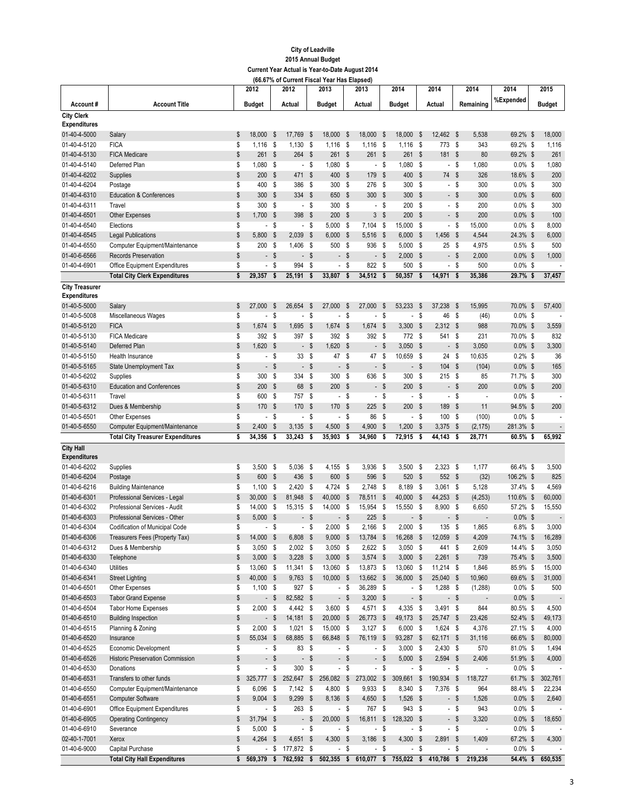|                                     |                                                                       |          | 2012                               |                           | 2012                             |                           | 2013                               |                           | 2013                     |                            | 2014                              |                                   | 2014                               |               | 2014                              | 2014                     | 2015                     |
|-------------------------------------|-----------------------------------------------------------------------|----------|------------------------------------|---------------------------|----------------------------------|---------------------------|------------------------------------|---------------------------|--------------------------|----------------------------|-----------------------------------|-----------------------------------|------------------------------------|---------------|-----------------------------------|--------------------------|--------------------------|
| Account#                            | <b>Account Title</b>                                                  |          | <b>Budget</b>                      |                           | Actual                           |                           | <b>Budget</b>                      |                           | Actual                   |                            | <b>Budget</b>                     |                                   | Actual                             |               | Remaining                         | %Expended                | Budget                   |
| <b>City Clerk</b>                   |                                                                       |          |                                    |                           |                                  |                           |                                    |                           |                          |                            |                                   |                                   |                                    |               |                                   |                          |                          |
| <b>Expenditures</b><br>01-40-4-5000 | Salary                                                                | \$       | 18,000                             | - \$                      | 17,769                           | \$                        | 18,000                             | \$                        | 18,000                   | \$                         | 18,000                            | \$                                | 12,462 \$                          |               | 5,538                             | 69.2% \$                 | 18,000                   |
| 01-40-4-5120                        | <b>FICA</b>                                                           | \$       | $1,116$ \$                         |                           | 1,130                            | \$                        | 1,116                              | - \$                      | $1,116$ \$               |                            | $1,116$ \$                        |                                   | 773 \$                             |               | 343                               | 69.2% \$                 | 1,116                    |
| 01-40-4-5130                        | <b>FICA Medicare</b>                                                  | \$       | 261                                | \$                        | 264                              | $\boldsymbol{\mathsf{s}}$ | 261                                | - \$                      | 261                      | - \$                       | 261                               | \$                                | 181                                | - \$          | 80                                | 69.2% \$                 | 261                      |
| 01-40-4-5140                        | Deferred Plan                                                         | \$       | 1,080                              | - \$                      | $\overline{\phantom{a}}$         | \$                        | 1,080                              | - \$                      |                          | - \$                       | 1,080                             | S,                                |                                    | - \$          | 1,080                             | $0.0\%$ \$               | 1,080                    |
| 01-40-4-6202                        | Supplies                                                              | \$       | 200                                | - \$                      | 471                              | $\boldsymbol{\mathsf{s}}$ | 400                                | $\mathbb{S}$              | 179                      | -\$                        | 400                               | $\boldsymbol{\mathsf{s}}$         | 74                                 | - \$          | 326                               | 18.6% \$                 | 200                      |
| 01-40-4-6204                        | Postage                                                               | \$       | 400                                | - \$                      | 386                              | \$                        | 300                                | - \$                      | 276                      | - \$                       | 300                               | S,                                |                                    | - \$          | 300                               | $0.0\%$ \$               | 300                      |
| 01-40-4-6310                        | <b>Education &amp; Conferences</b>                                    | \$       | 300S                               |                           | 334                              | \$                        | 650 \$                             |                           | 300 \$                   |                            | 300                               | $\boldsymbol{\mathsf{s}}$         |                                    | - \$          | 300                               | $0.0\%$ \$               | 600                      |
| 01-40-4-6311                        | Travel                                                                | \$       | 300                                | - \$                      | $\overline{\phantom{a}}$         | \$                        | 300                                | - \$                      |                          | - \$                       | 200                               | S,                                |                                    | - \$          | 200                               | $0.0\%$ \$               | 300                      |
| 01-40-4-6501                        | <b>Other Expenses</b>                                                 | \$       | 1,700                              | - \$                      | 398                              | $\boldsymbol{\mathsf{s}}$ | 200                                | - \$                      | 3                        | \$                         | 200                               | $\boldsymbol{\mathsf{s}}$         |                                    | - \$          | 200                               | $0.0\%$ \$               | 100                      |
| 01-40-4-6540                        | Elections                                                             | \$       |                                    | - \$                      | $\overline{\phantom{a}}$         | \$                        | 5,000                              | - \$                      | 7,104                    | - \$                       | 15,000 \$                         |                                   |                                    | - \$          | 15,000                            | $0.0\%$ \$               | 8,000                    |
| 01-40-4-6545                        | <b>Legal Publications</b>                                             | \$       | 5,800                              | - \$                      | 2,039                            | \$                        | 6,000                              | $\sqrt{3}$                | 5,516 \$                 |                            | 6,000                             | \$                                | 1,456                              | - \$          | 4,544                             | 24.3% \$                 | 6,000                    |
| 01-40-4-6550                        | Computer Equipment/Maintenance                                        | \$       | 200S                               |                           | 1,406                            | S,                        | 500                                | - \$                      | 936                      | - \$                       | 5,000                             | - \$                              | 25S                                |               | 4,975                             | $0.5\%$ \$               | 500                      |
| 01-40-6-6566                        | <b>Records Preservation</b>                                           | \$       |                                    | - \$                      |                                  | - \$                      |                                    | - \$                      |                          | - \$                       | $2,000$ \$                        |                                   |                                    | - \$          | 2,000                             | $0.0\%$ \$               | 1,000                    |
| 01-40-4-6901                        | Office Equipment Expenditures<br><b>Total City Clerk Expenditures</b> | \$<br>\$ | $\overline{\phantom{a}}$<br>29,357 | S<br>\$                   | 994<br>25,191                    | \$<br>\$                  | $\overline{\phantom{a}}$<br>33,807 | S<br>\$                   | 822<br>34,512            | - \$<br>\$                 | 500<br>50,357                     | \$<br>\$                          | $\overline{\phantom{a}}$<br>14,971 | \$<br>\$      | 500<br>35,386                     | $0.0\%$ \$<br>29.7% \$   | 37,457                   |
| <b>City Treasurer</b>               |                                                                       |          |                                    |                           |                                  |                           |                                    |                           |                          |                            |                                   |                                   |                                    |               |                                   |                          |                          |
| <b>Expenditures</b>                 |                                                                       |          |                                    |                           |                                  |                           |                                    |                           |                          |                            |                                   |                                   |                                    |               |                                   |                          |                          |
| 01-40-5-5000                        | Salary                                                                | \$       | 27,000                             | - \$                      | 26,654                           | \$                        | 27,000                             | \$                        | 27,000                   | -\$                        | 53,233                            | \$                                | 37.238                             | - \$          | 15,995                            | 70.0% \$                 | 57,400                   |
| 01-40-5-5008                        | Miscellaneous Wages                                                   | \$       | $\overline{\phantom{a}}$           | - \$                      | $\overline{\phantom{a}}$         | \$                        | $\overline{a}$                     | \$                        | $\overline{\phantom{a}}$ | \$                         | $\overline{\phantom{a}}$          | S                                 | 46                                 | - \$          | (46)                              | $0.0\%$ \$               |                          |
| 01-40-5-5120                        | <b>FICA</b>                                                           | \$       | 1,674                              | - \$                      | 1,695                            | \$                        | 1,674                              | $\boldsymbol{\mathsf{s}}$ | 1,674                    | -\$                        | 3,300                             | $\boldsymbol{\mathsf{s}}$         | $2,312$ \$                         |               | 988                               | 70.0% \$                 | 3,559                    |
| 01-40-5-5130                        | <b>FICA Medicare</b>                                                  | \$       | 392 \$                             |                           | 397                              | \$                        | 392S                               |                           | 392 \$                   |                            | 772 \$                            |                                   | 541 \$                             |               | 231                               | 70.0% \$                 | 832                      |
| 01-40-5-5140                        | Deferred Plan                                                         | \$       | 1,620                              | - \$                      | $\overline{\phantom{a}}$         | \$                        | 1,620                              | $\sqrt{3}$                |                          | $-$ \$                     | 3,050                             | $\mathbb{S}$                      |                                    | - \$          | 3,050                             | $0.0\%$ \$               | 3,300                    |
| 01-40-5-5150                        | Health Insurance                                                      | \$       |                                    | - \$                      | 33                               | \$                        | 47 \$                              |                           | 47                       | \$                         | 10,659                            | - \$                              | 24                                 | \$            | 10,635                            | $0.2\%$ \$               | 36                       |
| 01-40-5-5165                        | <b>State Unemployment Tax</b>                                         | \$       |                                    | - \$                      | $\overline{\phantom{a}}$         | $\boldsymbol{\mathsf{s}}$ | $\blacksquare$                     | $\mathsf{\$}$             |                          | - \$                       | ÷.                                | $\boldsymbol{\mathsf{s}}$         | 104                                | - \$          | (104)                             | $0.0\%$ \$               | 165                      |
| 01-40-5-6202                        | Supplies                                                              | \$       | 300                                | - \$                      | 334                              | \$                        | 300                                | - \$                      | 636                      | - \$                       | 300                               | S                                 | 215S                               |               | 85                                | 71.7% \$                 | 300                      |
| 01-40-5-6310                        | <b>Education and Conferences</b>                                      | \$       | 200                                | - \$                      | 68                               | $\boldsymbol{\mathsf{s}}$ | 200                                | $\mathsf{\$}$             |                          | $-$ \$                     | 200                               | $\boldsymbol{\mathsf{s}}$         |                                    | - \$          | 200                               | $0.0\%$ \$               | 200                      |
| 01-40-5-6311<br>01-40-5-6312        | Travel                                                                | \$<br>\$ | 600 \$<br>170                      | - \$                      | 757 \$<br>170                    | $\boldsymbol{\mathsf{s}}$ | 170                                | - \$<br>- \$              | 225                      | - \$<br>$\mathbf{\hat{s}}$ | 200                               | - \$<br>$\boldsymbol{\mathsf{s}}$ | 189                                | - \$<br>- \$  | $\overline{\phantom{a}}$<br>11    | $0.0\%$ \$<br>94.5% \$   | 200                      |
| 01-40-5-6501                        | Dues & Membership<br>Other Expenses                                   | \$       | $\overline{\phantom{a}}$           | - \$                      | $\overline{\phantom{a}}$         | \$                        |                                    | - \$                      | 86                       | - \$                       | $\overline{\phantom{a}}$          | S                                 | 100S                               |               | (100)                             | $0.0\%$ \$               | $\overline{\phantom{a}}$ |
| 01-40-5-6550                        | Computer Equipment/Maintenance                                        | \$       | 2,400                              | $\boldsymbol{\mathsf{s}}$ | 3,135                            | $\sqrt{2}$                | 4,500                              | $\boldsymbol{\mathsf{s}}$ | 4,900                    | -\$                        | 1,200                             | \$                                | 3,375                              | - \$          | (2, 175)                          | 281.3% \$                |                          |
|                                     | <b>Total City Treasurer Expenditures</b>                              | \$       | 34,356                             | \$                        | 33,243                           | \$                        | 35,903                             | \$                        | 34,960                   | \$                         | 72,915                            | \$                                | 44,143                             | \$            | 28,771                            | 60.5% \$                 | 65,992                   |
| <b>City Hall</b>                    |                                                                       |          |                                    |                           |                                  |                           |                                    |                           |                          |                            |                                   |                                   |                                    |               |                                   |                          |                          |
| <b>Expenditures</b>                 |                                                                       |          |                                    |                           |                                  |                           |                                    |                           |                          |                            |                                   |                                   |                                    |               |                                   |                          |                          |
| 01-40-6-6202                        | Supplies                                                              | \$       | 3,500                              | - \$                      | 5,036                            | \$                        | 4,155                              | - \$                      | 3,936 \$                 |                            | 3,500                             | - \$                              | $2,323$ \$                         |               | 1,177                             | 66.4% \$                 | 3,500                    |
| 01-40-6-6204                        | Postage                                                               | \$       | 600                                | - \$                      | 436                              | $\boldsymbol{\mathsf{s}}$ | 600                                | - \$                      | 596                      | - \$                       | 520                               | $\boldsymbol{\mathsf{s}}$         | 552 \$                             |               | (32)                              | 106.2% \$                | 825                      |
| 01-40-6-6216                        | <b>Building Maintenance</b>                                           | \$       | 1,100                              | - \$                      | 2,420                            | \$                        | 4,724                              | - \$                      | 2,748                    | - \$                       | 8,189                             | -\$                               | $3,061$ \$                         |               | 5,128                             | 37.4% \$                 | 4,569                    |
| 01-40-6-6301                        | Professional Services - Legal                                         | \$       | 30,000                             | - \$                      | 81,948                           | $\sqrt{2}$                | 40,000                             | - \$                      | 78,511                   | \$                         | 40,000                            | \$                                | 44,253 \$                          |               | (4, 253)                          | 110.6% \$                | 60,000                   |
| 01-40-6-6302                        | Professional Services - Audit                                         | \$       | 14,000                             | - \$                      | 15,315                           | \$                        | 14,000                             | - \$                      | 15,954 \$<br>225         |                            | 15,550 \$                         |                                   | 8,900 \$                           |               | 6,650                             | 57.2% \$                 | 15,550                   |
| 01-40-6-6303<br>01-40-6-6304        | Professional Services - Other<br>Codification of Municipal Code       | \$<br>\$ | 5,000<br>$\overline{\phantom{a}}$  | - \$<br>S                 | $\overline{\phantom{a}}$         | $\mathsf{\$}$<br>\$       | 2,000                              | - \$<br>- \$              | 2,166                    | - \$<br>- \$               | $\overline{\phantom{0}}$<br>2,000 | $\boldsymbol{\mathsf{s}}$<br>S,   | 135S                               | - \$          | 1,865                             | $0.0\%$ \$<br>$6.8\%$ \$ | 3,000                    |
| 01-40-6-6306                        | Treasurers Fees (Property Tax)                                        | \$       | 14.000                             | S.                        | 6,808                            | $\mathsf{\$}$             | 9,000                              | \$                        | 13,784                   | $\mathsf{s}$               | 16,268                            | $\mathsf{\$}$                     | 12,059                             | $\mathsf{\$}$ | 4,209                             | 74.1% \$                 | 16,289                   |
| 01-40-6-6312                        | Dues & Membership                                                     | \$       | $3,050$ \$                         |                           | $2,002$ \$                       |                           | 3,050                              | - \$                      | $2,622$ \$               |                            | $3,050$ \$                        |                                   | 441 \$                             |               | 2,609                             | 14.4% \$                 | 3,050                    |
| 01-40-6-6330                        | Telephone                                                             | \$       | $3,000$ \$                         |                           | $3,228$ \$                       |                           | $3,000$ \$                         |                           | $3,574$ \$               |                            | $3,000$ \$                        |                                   | $2,261$ \$                         |               | 739                               | 75.4% \$                 | 3,500                    |
| 01-40-6-6340                        | <b>Utilities</b>                                                      | \$       | 13,060 \$                          |                           | 11,341                           | \$                        | 13,060 \$                          |                           | 13,873 \$                |                            | 13,060 \$                         |                                   | $11,214$ \$                        |               | 1,846                             | 85.9% \$                 | 15,000                   |
| 01-40-6-6341                        | <b>Street Lighting</b>                                                | \$       | 40,000 \$                          |                           | $9,763$ \$                       |                           | 10,000 \$                          |                           | 13,662 \$                |                            | 36,000 \$                         |                                   | 25,040 \$                          |               | 10,960                            | 69.6% \$                 | 31,000                   |
| 01-40-6-6501                        | Other Expenses                                                        | \$       | $1,100$ \$                         |                           | 927 \$                           |                           |                                    | - \$                      | 36,289 \$                |                            |                                   | - \$                              | $1,288$ \$                         |               | (1, 288)                          | $0.0\%$ \$               | 500                      |
| 01-40-6-6503                        | <b>Tabor Grand Expense</b>                                            | \$       |                                    | $-$ \$                    | 82,582 \$                        |                           |                                    | $-$ \$                    | $3,200$ \$               |                            |                                   | - \$                              |                                    | $-$ \$        | $\overline{\phantom{a}}$          | $0.0\%$ \$               | $\overline{\phantom{a}}$ |
| 01-40-6-6504                        | <b>Tabor Home Expenses</b>                                            | \$       | $2,000$ \$                         |                           | 4,442 \$                         |                           | $3,600$ \$                         |                           | 4,571 \$                 |                            | 4,335 \$                          |                                   | $3,491$ \$                         |               | 844                               | 80.5% \$                 | 4,500                    |
| 01-40-6-6510                        | <b>Building Inspection</b>                                            | \$       |                                    | - \$                      | $14,181$ \$                      |                           | 20,000 \$                          |                           | 26,773 \$                |                            | 49,173 \$                         |                                   | 25,747 \$                          |               | 23,426                            | 52.4% \$                 | 49,173                   |
| 01-40-6-6515                        | Planning & Zoning                                                     | \$       | $2,000$ \$                         |                           | 1,021                            | \$                        | 15,000 \$                          |                           | $3,127$ \$               |                            | $6,000$ \$                        |                                   | 1,624 \$                           |               | 4,376                             | 27.1% \$                 | 4,000                    |
| 01-40-6-6520                        | Insurance                                                             | \$       | 55,034 \$                          |                           | 68,885                           | -\$                       | 66,848                             | $\sqrt{3}$                | 76,119 \$                |                            | 93,287 \$                         |                                   | 62,171 \$                          |               | 31,116                            | 66.6% \$                 | 80,000                   |
| 01-40-6-6525                        | Economic Development                                                  | \$       |                                    | - \$                      | 83 \$                            |                           |                                    | - \$                      |                          | $-$ \$                     | $3,000$ \$                        |                                   | $2,430$ \$                         |               | 570                               | 81.0% \$                 | 1,494                    |
| 01-40-6-6526<br>01-40-6-6530        | Historic Preservation Commission<br>Donations                         | \$<br>\$ |                                    | $-$ \$<br>$-$ \$          | $\overline{\phantom{a}}$<br>300S | $\sqrt[6]{\frac{1}{2}}$   |                                    | $-$ \$<br>- \$            |                          | $-$ \$<br>$-$ \$           | $5,000$ \$                        | - \$                              | 2,594 \$                           | $-$ \$        | 2,406<br>$\overline{\phantom{a}}$ | 51.9% \$                 | 4,000                    |
| 01-40-6-6531                        | Transfers to other funds                                              | \$       | 325,777 \$                         |                           | 252,647 \$                       |                           | 256,082                            | $\sqrt{3}$                | 273,002                  | $\sqrt[6]{3}$              | 309,661                           | \$                                | 190,934                            | - \$          | 118,727                           | $0.0\%$ \$<br>61.7% \$   | 302,761                  |
| 01-40-6-6550                        | Computer Equipment/Maintenance                                        | \$       | 6,096 \$                           |                           | $7,142$ \$                       |                           | 4,800 \$                           |                           | 9,933 \$                 |                            | 8,340 \$                          |                                   | 7,376 \$                           |               | 964                               | 88.4% \$                 | 22,234                   |
| 01-40-6-6551                        | <b>Computer Software</b>                                              | \$       | $9,004$ \$                         |                           | $9,299$ \$                       |                           | 8,136 \$                           |                           | 4,650 \$                 |                            | $1,526$ \$                        |                                   |                                    | - \$          | 1,526                             | $0.0\%$ \$               | 2,640                    |
| 01-40-6-6901                        | Office Equipment Expenditures                                         | \$       |                                    | - \$                      | 263                              | - \$                      |                                    | - \$                      | 767 \$                   |                            | 943 \$                            |                                   |                                    | - \$          | 943                               | $0.0\%$ \$               |                          |
| 01-40-6-6905                        | <b>Operating Contingency</b>                                          | \$       | 31,794 \$                          |                           |                                  | - \$                      | 20,000                             | $\sqrt{3}$                | 16,811 \$                |                            | 128,320 \$                        |                                   |                                    | $-$ \$        | 3,320                             | $0.0\%$ \$               | 18,650                   |
| 01-40-6-6910                        | Severance                                                             | \$       | $5,000$ \$                         |                           | $\overline{\phantom{a}}$         | \$                        |                                    | - \$                      |                          | $-$ \$                     |                                   | - \$                              |                                    | - \$          | $\centerdot$                      | $0.0\%$ \$               |                          |
| 02-40-1-7001                        | Xerox                                                                 | \$       | $4,264$ \$                         |                           | 4,651 \$                         |                           | 4,300 \$                           |                           | $3,186$ \$               |                            | 4,300 \$                          |                                   | 2,891 \$                           |               | 1,409                             | 67.2% \$                 | 4,300                    |
| 01-40-6-9000                        | Capital Purchase                                                      | \$       |                                    | - \$                      | 177,872 \$                       |                           |                                    | - \$                      |                          | - \$                       | $\sim$                            | \$                                |                                    | - \$          |                                   | $0.0\%$ \$               |                          |
|                                     | <b>Total City Hall Expenditures</b>                                   | \$       | 569,379 \$                         |                           |                                  |                           | 762,592 \$ 502,355 \$              |                           |                          |                            | 610,077 \$ 755,022 \$             |                                   | 410,786 \$                         |               | 219,236                           | 54.4% \$                 | 650,535                  |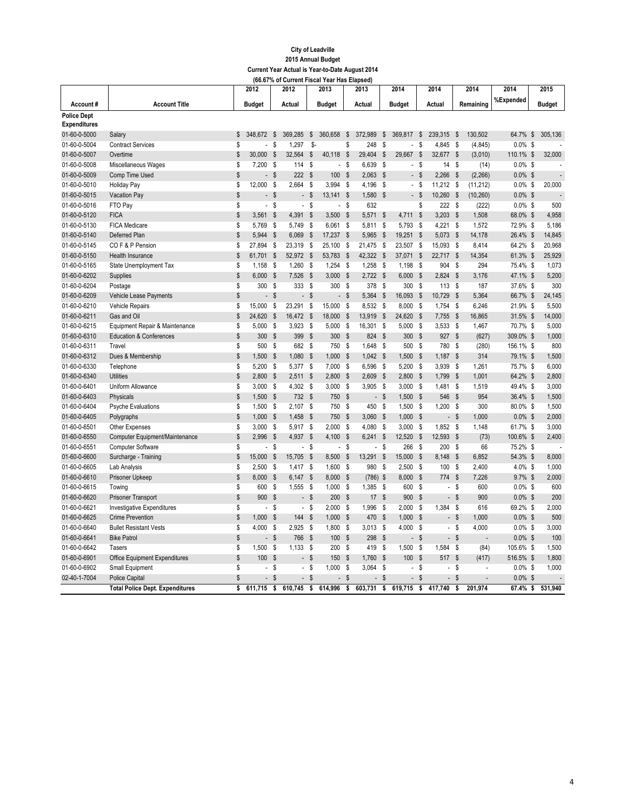|                     |                                        |                | 2012                     |                    | 2012                     |                           | 2013           |                           | 2013           |                    | 2014                     |                           | 2014                     |                           | 2014      | 2014        | 2015           |
|---------------------|----------------------------------------|----------------|--------------------------|--------------------|--------------------------|---------------------------|----------------|---------------------------|----------------|--------------------|--------------------------|---------------------------|--------------------------|---------------------------|-----------|-------------|----------------|
| Account#            | <b>Account Title</b>                   |                | <b>Budget</b>            |                    | Actual                   |                           | <b>Budget</b>  |                           | Actual         |                    | <b>Budget</b>            |                           | Actual                   |                           | Remaining | %Expended   | Budget         |
| <b>Police Dept</b>  |                                        |                |                          |                    |                          |                           |                |                           |                |                    |                          |                           |                          |                           |           |             |                |
| <b>Expenditures</b> |                                        |                |                          |                    |                          |                           |                |                           |                |                    |                          |                           |                          |                           |           |             |                |
| 01-60-0-5000        | Salary                                 | \$             | 348,672 \$               |                    | 369,285                  | $\boldsymbol{\mathsf{s}}$ | 360,658        | $\sqrt[6]{3}$             | 372,989        | $\sqrt[6]{3}$      | 369,817                  | \$                        | 239,315 \$               |                           | 130,502   | 64.7% \$    | 305,136        |
| 01-60-0-5004        | <b>Contract Services</b>               | S              |                          | S                  | 1.297                    | \$-                       |                | S                         | 248            | \$                 | $\overline{a}$           | s                         | 4.845                    | - S                       | (4, 845)  | $0.0\%$ \$  |                |
| 01-60-0-5007        | Overtime                               | \$             | 30,000                   | \$                 | 32,564                   | $\mathsf{\$}$             | 40,118         | $\mathbf s$               | 29,404         | $\mathsf{\$}$      | 29,667                   | $\mathsf{\$}$             | 32,677                   | $\mathbb{S}$              | (3,010)   | 110.1% \$   | 32,000         |
| 01-60-0-5008        | Miscellaneous Wages                    | \$             | 7,200                    | - \$               | 114                      | \$                        | $\blacksquare$ | \$                        | 6,639          | S                  | ÷.                       | S                         | 14                       | - \$                      | (14)      | $0.0\%$ \$  |                |
| 01-60-0-5009        | Comp Time Used                         | \$             |                          | - \$               | 222                      | <b>S</b>                  | 100            | $\mathsf{s}$              | 2,063          | $\mathbf{s}$       | $\sim$                   | <b>S</b>                  | 2,266                    | - \$                      | (2, 266)  | $0.0\%$ \$  | $\overline{a}$ |
| 01-60-0-5010        | Holiday Pay                            | \$             | 12,000                   | - \$               | 2,664                    | \$                        | 3,994          | - \$                      | 4,196          | - \$               | $\mathbb{Z}^{\times}$    | S                         | 11,212 \$                |                           | (11, 212) | $0.0\%$ \$  | 20,000         |
| 01-60-0-5015        | Vacation Pay                           | $\mathbb S$    |                          | - \$               | $\blacksquare$           | $\mathbb{S}$              | $13,141$ \$    |                           | 1,580          | $\mathbf{s}$       | $\mathcal{L}^{\pm}$      | \$                        | 10,260                   | - \$                      | (10, 260) | $0.0\%$ \$  |                |
| 01-60-0-5016        | FTO Pay                                | \$             | $\overline{a}$           | $\mathsf{\$}$      | $\overline{a}$           | $\mathsf{s}$              | $\blacksquare$ | s                         | 632            |                    |                          | S                         | 222S                     |                           | (222)     | $0.0\%$ \$  | 500            |
| 01-60-0-5120        | <b>FICA</b>                            | \$             | 3,561                    | <b>S</b>           | 4.391                    | $\mathsf{s}$              | 3,500          | - \$                      | $5.571$ \$     |                    | 4,711                    | $\mathsf{s}$              | 3,203                    | - \$                      | 1,508     | 68.0% \$    | 4.958          |
| 01-60-0-5130        | <b>FICA Medicare</b>                   | $\mathbb S$    | 5.769                    | - \$               | 5.749                    | \$                        | 6.061          | <b>S</b>                  | 5.811          | -S                 | 5.793                    | s.                        | $4.221$ \$               |                           | 1,572     | 72.9% \$    | 5.186          |
| 01-60-0-5140        | Deferred Plan                          | \$             | 5,944                    | \$                 | 6,069                    | $\mathsf{\$}$             | 17,237         | \$                        | 5,965          | $\mathbf{\hat{s}}$ | 19,251                   | $\boldsymbol{\mathsf{s}}$ | 5,073                    | \$                        | 14,178    | 26.4% \$    | 14,845         |
| 01-60-0-5145        | COF&P Pension                          | \$             | 27,894                   | S,                 | 23,319                   | \$                        | 25,100         | - \$                      | 21,475         | \$                 | 23,507                   | \$                        | 15,093                   | - \$                      | 8,414     | 64.2% \$    | 20,968         |
| 01-60-0-5150        | Health Insurance                       | \$             | 61,701                   | - \$               | 52,972                   | - \$                      | 53,783         | \$                        | 42,322         | $\mathbf{\hat{s}}$ | 37,071                   | $\boldsymbol{\mathsf{s}}$ | 22,717 \$                |                           | 14,354    | 61.3% \$    | 25,929         |
| 01-60-0-5165        | State Unemployment Tax                 | \$             | 1,158                    | - \$               | 1,260                    | \$                        | 1,254          | - \$                      | 1,258          | - \$               | 1,198                    | \$                        | 904                      | S,                        | 294       | 75.4% \$    | 1,073          |
| 01-60-0-6202        | Supplies                               | \$             | 6,000                    | - \$               | 7,526                    | $\boldsymbol{\mathsf{s}}$ | 3,000          | - \$                      | $2,722$ \$     |                    | 6,000                    | <b>S</b>                  | 2,824                    | - \$                      | 3,176     | 47.1% \$    | 5,200          |
| 01-60-0-6204        | Postage                                | \$             | 300                      | -\$                | 333                      | $$\mathbb{S}$$            | 300            | - \$                      | 378            | $\boldsymbol{s}$   | 300                      | S                         | 113                      | - \$                      | 187       | 37.6% \$    | 300            |
| 01-60-0-6209        | <b>Vehicle Lease Payments</b>          | \$             |                          | - \$               | $\blacksquare$           | <b>S</b>                  |                | - \$                      | 5,364          | $\mathbf{s}$       | 16,093                   | <b>S</b>                  | 10,729                   | $\mathbf{s}$              | 5,364     | 66.7% \$    | 24,145         |
| 01-60-0-6210        | <b>Vehicle Repairs</b>                 | \$             | 15,000                   | S                  | 23,291                   | \$                        | 15,000         | \$                        | 8,532          | \$                 | 8,000                    | \$                        | 1,754                    | - \$                      | 6,246     | 21.9% \$    | 5,500          |
| 01-60-0-6211        | Gas and Oil                            | \$             | 24,620                   | - \$               | 16,472                   | $\sqrt{2}$                | 18,000         | - \$                      | 13,919         | $\sqrt{2}$         | 24,620                   | - \$                      | 7,755                    | \$                        | 16,865    | 31.5% \$    | 14,000         |
| 01-60-0-6215        | Equipment Repair & Maintenance         | \$             | 5.000                    | - \$               | 3.923                    | \$                        | 5,000          | \$                        | 16.301         | \$                 | 5.000                    | S.                        | 3.533                    | - \$                      | 1,467     | 70.7% \$    | 5,000          |
| 01-60-0-6310        | <b>Education &amp; Conferences</b>     | \$             | 300                      | $\mathbf{\hat{s}}$ | 399                      | $\mathsf{\$}$             | 300            | \$                        | 824 \$         |                    | 300                      | $\boldsymbol{\mathsf{s}}$ | 927 \$                   |                           | (627)     | 309.0% \$   | 1,000          |
| 01-60-0-6311        | Travel                                 | \$             | 500                      | - \$               | 682                      | \$                        | 750            | S                         | 1.648          | -S                 | 500                      | S                         | 780                      | S,                        | (280)     | 156.1% \$   | 800            |
| 01-60-0-6312        | Dues & Membership                      | $$\mathbb{S}$$ | 1,500                    | - \$               | 1,080                    | $\mathsf{\$}$             | 1,000          | $\mathsf{\$}$             | $1,042$ \$     |                    | 1,500                    | $\boldsymbol{\mathsf{s}}$ | 1,187                    | - \$                      | 314       | 79.1% \$    | 1,500          |
| 01-60-0-6330        | Telephone                              | \$             | 5,200                    | - \$               | 5,377                    | \$                        | 7,000          | - \$                      | 6,596          | - \$               | 5,200                    | \$                        | 3,939                    | - \$                      | 1,261     | 75.7% \$    | 6,000          |
| 01-60-0-6340        | <b>Utilities</b>                       | \$             | 2,800                    | - \$               | 2,511                    | $\boldsymbol{\mathsf{s}}$ | 2,800          | $\boldsymbol{\mathsf{s}}$ | $2,609$ \$     |                    | 2,800                    | $\boldsymbol{\mathsf{s}}$ | 1,799                    | - \$                      | 1,001     | 64.2% \$    | 2,800          |
| 01-60-0-6401        | Uniform Allowance                      | \$             | 3,000                    | - \$               | 4,302                    | S,                        | 3,000          | - \$                      | $3,905$ \$     |                    | 3,000                    | - \$                      | 1,481                    | S,                        | 1,519     | 49.4% \$    | 3,000          |
| 01-60-0-6403        | Physicals                              | \$             | 1,500                    | - \$               | 732                      | <b>S</b>                  | 750            | $\mathsf{\$}$             |                | - \$               | 1,500                    | \$                        | 546                      | $\mathbf{s}$              | 954       | 36.4% \$    | 1,500          |
| 01-60-0-6404        | <b>Psyche Evaluations</b>              | \$             | 1,500                    | - \$               | 2,107                    | S.                        | 750            | - \$                      | 450            | - \$               | 1,500                    | \$                        | $1,200$ \$               |                           | 300       | 80.0% \$    | 1,500          |
| 01-60-0-6405        | Polygraphs                             | \$             | 1,000                    | - \$               | 1,458                    | <sup>\$</sup>             | 750            | $\mathbf{s}$              | 3,060          | $\mathbf{\hat{s}}$ | 1,000                    | $\boldsymbol{\mathsf{s}}$ | $\overline{a}$           | $\sqrt{2}$                | 1,000     | $0.0\%$ \$  | 2,000          |
| 01-60-0-6501        | Other Expenses                         | \$             | $3,000$ \$               |                    | 5,917 \$                 |                           | 2.000          | - \$                      | 4,080          | -S                 | 3,000                    | <b>S</b>                  | $1,852$ \$               |                           | 1,148     | 61.7% \$    | 3,000          |
| 01-60-0-6550        | Computer Equipment/Maintenance         | \$             | 2,996                    | $\mathsf{\$}$      | 4,937                    | $\mathsf{\$}$             | 4,100          | \$                        | 6,241          | $\mathsf{\$}$      | 12,520                   | $\boldsymbol{\mathsf{s}}$ | 12,593                   | \$                        | (73)      | 100.6% \$   | 2,400          |
| 01-60-0-6551        | <b>Computer Software</b>               | \$             |                          | - \$               | $\overline{a}$           | S                         | $\blacksquare$ | S                         | $\blacksquare$ | -S                 | 266                      | -S                        | 200                      | - \$                      | 66        | 75.2% \$    |                |
| 01-60-0-6600        | Surcharge - Training                   | \$             | 15,000                   | \$                 | 15,705                   | $\mathsf{\$}$             | 8,500          | \$                        | 13,291         | $\mathsf{\$}$      | 15,000                   | $\boldsymbol{\mathsf{s}}$ | 8,148                    | $\sqrt{2}$                | 6,852     | 54.3% \$    | 8,000          |
| 01-60-0-6605        | Lab Analysis                           | \$             | 2,500                    | - \$               | $1,417$ \$               |                           | 1,600          | - \$                      | 980            | - \$               | 2,500                    | \$                        | 100                      | - \$                      | 2,400     | 4.0% \$     | 1,000          |
| 01-60-0-6610        | Prisoner Upkeep                        | \$             | 8,000                    | -\$                | 6,147                    | $\boldsymbol{\mathsf{s}}$ | 8,000          | - \$                      | (786)          | $\mathbf{\hat{s}}$ | 8,000                    | $\mathsf{\$}$             | 774                      | $\boldsymbol{\mathsf{s}}$ | 7,226     | $9.7\%$ \$  | 2,000          |
| 01-60-0-6615        | Towing                                 | \$             | 600                      | - \$               | 1,555                    | - \$                      | 1,000          | - \$                      | 1,385          | - \$               | 600                      | S                         | $\overline{\phantom{a}}$ | - \$                      | 600       | $0.0\%$ \$  | 600            |
| 01-60-0-6620        | <b>Prisoner Transport</b>              | \$             | 900                      | - \$               | $\overline{a}$           | $\mathsf{\$}$             | 200            | \$                        | 17             | $\mathbf{\hat{s}}$ | 900                      | $\mathsf{\$}$             |                          | - \$                      | 900       | $0.0\%$ \$  | 200            |
| 01-60-0-6621        | <b>Investigative Expenditures</b>      | \$             | $\blacksquare$           | - \$               | $\overline{\phantom{a}}$ | \$                        | 2,000          | - \$                      | 1,996          | \$                 | 2,000                    | S,                        | $1,384$ \$               |                           | 616       | 69.2% \$    | 2,000          |
| 01-60-0-6625        | <b>Crime Prevention</b>                | \$             | 1,000                    | $\mathsf{\$}$      | 144                      | $\sqrt{2}$                | 1,000          | $\mathsf{\$}$             | 470            | $\sqrt{2}$         | 1,000                    | $\boldsymbol{\mathsf{s}}$ |                          | $\sqrt{3}$                | 1,000     | $0.0\%$ \$  | 500            |
| 01-60-0-6640        | <b>Bullet Resistant Vests</b>          | \$             | 4,000                    | - \$               | 2,925                    | \$                        | 1,800          | - \$                      | $3,013$ \$     |                    | 4.000                    | - \$                      |                          | - \$                      | 4,000     | $0.0\%$ \$  | 3,000          |
| 01-60-0-6641        | <b>Bike Patrol</b>                     | \$             |                          | - \$               | 766                      | $\mathsf{\$}$             | 100            | $\mathbf{\hat{s}}$        | 298            | $\sqrt{2}$         |                          | $\boldsymbol{\mathsf{s}}$ | $\overline{a}$           | \$                        |           | $0.0\%$ \$  | 100            |
| 01-60-0-6642        | Tasers                                 | \$             | 1.500S                   |                    | 1.133                    | S                         | 200            | <b>S</b>                  | 419            | -S                 | 1.500                    | <b>S</b>                  | 1,584 \$                 |                           | (84)      | 105.6% \$   | 1,500          |
| 01-60-0-6901        | Office Equipment Expenditures          | \$             | 100                      | - \$               |                          | $\mathsf{\$}$             | 150            | $\mathsf{\$}$             | 1,760          | $\mathbf{\hat{s}}$ | 100                      | $\mathsf{s}$              | 517                      | $\sqrt{3}$                | (417)     | 516.5% \$   | 1,800          |
| 01-60-0-6902        | <b>Small Equipment</b>                 | \$             | $\overline{a}$           | - \$               | $\overline{\phantom{a}}$ | $$\mathbb{S}$$            | 1,000          | S,                        | 3,064          | - \$               | $\overline{\phantom{0}}$ | \$                        | $\overline{a}$           | S,                        |           | $0.0\%$ \$  | 1,000          |
| 02-40-1-7004        | <b>Police Capital</b>                  | \$             | $\overline{\phantom{a}}$ | \$                 | $\overline{\phantom{a}}$ | $\mathsf{\$}$             | $\overline{a}$ | $\mathsf{\$}$             |                | $\mathsf{\$}$      | $\overline{\phantom{a}}$ | $\mathsf{\$}$             | $\overline{\phantom{a}}$ | $\mathsf{\$}$             |           | $0.0\%$ \$  | $\overline{a}$ |
|                     | <b>Total Police Dept. Expenditures</b> | Ŝ              | 611,715                  | \$                 | 610,745                  | s                         | 614,996        | s                         | 603,731        | s                  | 619,715                  | s                         | 417,740                  | \$                        | 201.974   | $67.4\%$ \$ | 531,940        |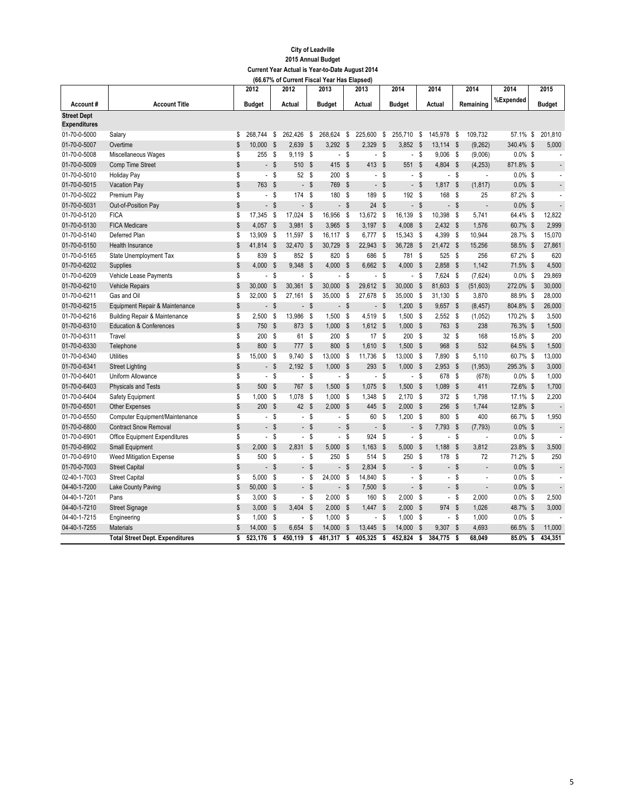|                     |                                          |              | 2012                     |                           | 2012                     |                           | 2013                     |                           | 2013                     |               | 2014                     |                           | 2014                     |                           | 2014                     | 2014        | 2015          |                          |
|---------------------|------------------------------------------|--------------|--------------------------|---------------------------|--------------------------|---------------------------|--------------------------|---------------------------|--------------------------|---------------|--------------------------|---------------------------|--------------------------|---------------------------|--------------------------|-------------|---------------|--------------------------|
| Account#            | <b>Account Title</b>                     |              | <b>Budget</b>            |                           | Actual                   |                           | <b>Budget</b>            |                           | Actual                   |               | <b>Budget</b>            |                           | Actual                   |                           | Remaining                | %Expended   | <b>Budget</b> |                          |
| <b>Street Dept</b>  |                                          |              |                          |                           |                          |                           |                          |                           |                          |               |                          |                           |                          |                           |                          |             |               |                          |
| <b>Expenditures</b> |                                          |              |                          |                           |                          |                           |                          |                           |                          |               |                          |                           |                          |                           |                          |             |               |                          |
| 01-70-0-5000        | Salary                                   | \$           | 268.744                  | \$                        | 262,426                  | \$                        | 268,624                  | \$                        | 225,600                  | \$            | 255,710                  | S                         | 145,978                  | - \$                      | 109,732                  | 57.1% \$    | 201,810       |                          |
| 01-70-0-5007        | Overtime                                 | \$           | 10,000                   | $\mathsf{\$}$             | 2,639                    | \$                        | 3,292                    | $\mathsf{\$}$             | 2,329                    | $\sqrt{2}$    | 3,852                    | $\mathsf{\$}$             | 13,114                   | \$                        | (9, 262)                 | 340.4% \$   | 5,000         |                          |
| 01-70-0-5008        | Miscellaneous Wages                      | \$           | 255                      | - \$                      | 9,119                    | $\mathsf{\$}$             |                          | - \$                      | $\sim$                   | $\mathsf{\$}$ | $\overline{\phantom{a}}$ | \$                        | $9,006$ \$               |                           | (9,006)                  | $0.0\%$ \$  |               |                          |
| 01-70-0-5009        | Comp Time Street                         | \$           |                          | - \$                      | 510                      | $\boldsymbol{\mathsf{s}}$ | 415                      | \$                        | 413 \$                   |               | 551                      | $\mathsf{\$}$             | 4,804 \$                 |                           | (4, 253)                 | 871.8% \$   |               | $\overline{\phantom{a}}$ |
| 01-70-0-5010        | <b>Holiday Pay</b>                       | \$           |                          | - \$                      | 52                       | S                         | 200                      | - \$                      |                          | $-$ \$        | $\overline{\phantom{a}}$ | \$                        |                          | - \$                      | $\overline{\phantom{a}}$ | $0.0\%$ \$  |               |                          |
| 01-70-0-5015        | Vacation Pay                             | \$           | 763 \$                   |                           |                          | $\boldsymbol{\mathsf{s}}$ | 769                      | \$                        |                          | $-$ \$        |                          | - \$                      | 1,817 \$                 |                           | (1, 817)                 | $0.0\%$ \$  |               |                          |
| 01-70-0-5022        | Premium Pay                              | \$           |                          | - \$                      | 174                      | \$                        | 180 \$                   |                           | 189 \$                   |               | 192                      | - \$                      | 168 \$                   |                           | 25                       | 87.2% \$    |               | $\overline{\phantom{a}}$ |
| 01-70-0-5031        | Out-of-Position Pay                      | \$           | $\blacksquare$           | - \$                      | $\overline{a}$           | $\mathsf{s}$              |                          | $-$ \$                    | 24                       | $\mathsf{\$}$ | $\overline{a}$           | - \$                      |                          | - \$                      |                          | $0.0\%$ \$  |               | $\overline{a}$           |
| 01-70-0-5120        | <b>FICA</b>                              | \$           | 17,345 \$                |                           | 17,024                   | \$                        | 16,956                   | - \$                      | 13,672 \$                |               | 16,139                   | S                         | 10,398 \$                |                           | 5,741                    | 64.4% \$    | 12,822        |                          |
| 01-70-0-5130        | <b>FICA Medicare</b>                     | \$           | $4,057$ \$               |                           | 3,981                    | $\boldsymbol{\mathsf{s}}$ | 3,965                    | $\mathbf{\hat{s}}$        | $3,197$ \$               |               | 4,008                    | - \$                      | $2,432$ \$               |                           | 1,576                    | 60.7% \$    | 2,999         |                          |
| 01-70-0-5140        | Deferred Plan                            | \$           | 13,909                   | - \$                      | 11,597                   | S                         | 16,117                   | - \$                      | 6,777 \$                 |               | 15,343                   | S                         | 4,399                    | - \$                      | 10,944                   | 28.7% \$    | 15,070        |                          |
| 01-70-0-5150        | <b>Health Insurance</b>                  | \$           | 41,814                   | - \$                      | 32,470                   | $\boldsymbol{\mathsf{s}}$ | 30,729                   | \$                        | 22,943 \$                |               | 36,728                   | - \$                      | 21,472 \$                |                           | 15,256                   | 58.5% \$    | 27,861        |                          |
| 01-70-0-5165        | State Unemployment Tax                   | \$           | 839                      | - \$                      | 852                      | S                         | 820                      | - \$                      | 686 \$                   |               | 781                      | S                         | 525 \$                   |                           | 256                      | 67.2% \$    |               | 620                      |
| 01-70-0-6202        | Supplies                                 | \$           | 4,000                    | -\$                       | 9,348                    | $\mathsf{\$}$             | 4,000                    | $\mathbf{\hat{s}}$        | 6,662 \$                 |               | 4,000                    | $\boldsymbol{\mathsf{s}}$ | $2,858$ \$               |                           | 1,142                    | 71.5% \$    | 4,500         |                          |
| 01-70-0-6209        | Vehicle Lease Payments                   | \$           | $\overline{\phantom{a}}$ | - \$                      | ÷,                       | S                         | $\blacksquare$           | \$                        |                          | $-$ \$        | $\overline{\phantom{a}}$ | - \$                      | 7,624 \$                 |                           | (7,624)                  | $0.0\%$ \$  | 29,869        |                          |
| 01-70-0-6210        | <b>Vehicle Repairs</b>                   | \$           | 30,000                   | $\boldsymbol{\mathsf{s}}$ | 30,361                   | \$                        | 30,000                   | \$                        | 29,612 \$                |               | 30,000                   | $\boldsymbol{\mathsf{s}}$ | 81,603                   | $\mathbb{S}$              | (51, 603)                | 272.0% \$   | 30,000        |                          |
| 01-70-0-6211        | Gas and Oil                              | S            | 32.000                   | - \$                      | 27.161                   | S                         | 35.000                   | \$                        | 27,678 \$                |               | 35,000                   | \$                        | $31,130$ \$              |                           | 3,870                    | 88.9% \$    | 28,000        |                          |
| 01-70-0-6215        | Equipment Repair & Maintenance           | \$           |                          | - \$                      | $\blacksquare$           | $\boldsymbol{\mathsf{s}}$ | $\blacksquare$           | \$                        |                          | - \$          | 1,200                    | - \$                      | $9,657$ \$               |                           | (8, 457)                 | 804.8% \$   | 26,000        |                          |
| 01-70-0-6216        | <b>Building Repair &amp; Maintenance</b> | \$           | 2,500                    | S                         | 13,986                   | S                         | 1,500                    | -S                        | 4,519 \$                 |               | 1,500                    | S                         | $2,552$ \$               |                           | (1,052)                  | 170.2% \$   | 3,500         |                          |
| 01-70-0-6310        | <b>Education &amp; Conferences</b>       | \$           | 750                      | \$                        | 873                      | $\mathsf{\$}$             | 1,000                    | \$                        | $1,612$ \$               |               | 1,000                    | - \$                      | 763 \$                   |                           | 238                      | 76.3% \$    | 1,500         |                          |
| 01-70-0-6311        | Travel                                   | \$           | 200                      | - \$                      | 61                       | S                         | 200 \$                   |                           | 17S                      |               | 200                      | - \$                      | 32S                      |                           | 168                      | 15.8% \$    |               | 200                      |
| 01-70-0-6330        | Telephone                                | \$           | 800                      | $\mathbf{\hat{s}}$        | 777                      | $\mathsf{s}$              | 800                      | $\mathbf{\hat{s}}$        | 1.610                    | $\mathsf{\$}$ | 1,500                    | <b>S</b>                  | 968                      | $\mathbf{s}$              | 532                      | 64.5% \$    | 1,500         |                          |
| 01-70-0-6340        | <b>Utilities</b>                         | S            | 15.000                   | - \$                      | 9,740                    | \$                        | 13,000                   | - \$                      | 11,736 \$                |               | 13,000                   | - \$                      | 7,890 \$                 |                           | 5,110                    | 60.7% \$    | 13,000        |                          |
| 01-70-0-6341        | <b>Street Lighting</b>                   | \$           |                          | - \$                      | 2,192                    | $\mathsf{\$}$             | 1,000                    | $\mathbf{\hat{s}}$        | 293 \$                   |               | 1,000                    | $\mathsf{\$}$             | $2,953$ \$               |                           | (1, 953)                 | 295.3% \$   | 3,000         |                          |
| 01-70-0-6401        | Uniform Allowance                        | \$           | $\overline{\phantom{a}}$ | S                         | $\overline{\phantom{a}}$ | $\mathsf{s}$              | $\overline{\phantom{a}}$ | $\boldsymbol{s}$          |                          | $-$ \$        | $\overline{\phantom{a}}$ | S                         | 678 \$                   |                           | (678)                    | $0.0\%$ \$  | 1,000         |                          |
| 01-70-0-6403        | <b>Physicals and Tests</b>               | \$           | 500                      | - \$                      | 767                      | $\mathsf{s}$              | 1,500                    | $\mathbf{\hat{s}}$        | 1,075 \$                 |               | 1,500                    | $\boldsymbol{\mathsf{s}}$ | 1,089 \$                 |                           | 411                      | 72.6% \$    | 1,700         |                          |
| 01-70-0-6404        | Safety Equipment                         | \$           | 1,000                    | - S                       | 1,078                    | S                         | 1,000                    | - \$                      | 1,348 \$                 |               | 2,170                    | - \$                      | 372 \$                   |                           | 1,798                    | 17.1% \$    | 2,200         |                          |
| 01-70-0-6501        | <b>Other Expenses</b>                    | \$           | 200                      | $\mathbf{s}$              | 42                       | $\mathsf{s}$              | 2.000                    | $\mathbf{s}$              | 445 \$                   |               | 2,000                    | - \$                      | 256                      | $\mathbf{\hat{s}}$        | 1,744                    | 12.8% \$    |               |                          |
| 01-70-0-6550        | Computer Equipment/Maintenance           | \$           |                          | - \$                      | $\blacksquare$           | S                         | $\overline{\phantom{a}}$ | -S                        | 60 \$                    |               | 1,200                    | - \$                      | 800 \$                   |                           | 400                      | 66.7% \$    | 1,950         |                          |
| 01-70-0-6800        | <b>Contract Snow Removal</b>             | \$           | $\overline{a}$           | $\mathbf{s}$              | $\overline{a}$           | $\mathsf{\$}$             | $\overline{a}$           | $\boldsymbol{\mathsf{s}}$ |                          | $-$ \$        | $\overline{a}$           | $\mathsf{\$}$             | 7,793 \$                 |                           | (7, 793)                 | $0.0\%$ \$  |               | $\overline{a}$           |
| 01-70-0-6901        | Office Equipment Expenditures            | S            | $\overline{\phantom{a}}$ | - \$                      | $\overline{\phantom{a}}$ | <sup>\$</sup>             | $\overline{\phantom{a}}$ | - \$                      | 924S                     |               | $\overline{\phantom{a}}$ | S                         |                          | - \$                      | ÷,                       | $0.0\%$ \$  |               | $\overline{a}$           |
| 01-70-0-6902        | Small Equipment                          | \$           | 2,000                    | $\mathsf{\$}$             | 2,831                    | $\mathsf{\$}$             | 5,000                    | $\mathbf{s}$              | $1,163$ \$               |               | 5,000                    | $\boldsymbol{\mathsf{s}}$ | 1,188                    | - S                       | 3,812                    | 23.8% \$    | 3,500         |                          |
| 01-70-0-6910        | <b>Weed Mitigation Expense</b>           | \$           | 500                      | - \$                      | $\overline{\phantom{a}}$ | <sup>\$</sup>             | 250                      | -S                        | 514                      | s             | 250                      | <b>S</b>                  | 178                      | - \$                      | 72                       | 71.2% \$    |               | 250                      |
| 01-70-0-7003        | <b>Street Capital</b>                    | $\mathbb S$  |                          | - \$                      | $\overline{a}$           | \$                        |                          | $\mathbf{s}$              | $2.834$ \$               |               |                          | - \$                      |                          | - \$                      | $\overline{a}$           | $0.0\%$ \$  |               | $\overline{a}$           |
| 02-40-1-7003        | <b>Street Capital</b>                    | \$           | 5.000                    | <b>S</b>                  | $\overline{\phantom{a}}$ | s                         | 24.000                   | -S                        | 14.840 \$                |               |                          | - \$                      | $\overline{\phantom{a}}$ | s                         |                          | $0.0\%$ \$  |               |                          |
| 04-40-1-7200        | Lake County Paving                       | \$           | 50,000                   | \$                        | $\overline{\phantom{a}}$ | $\mathsf{\$}$             | $\overline{a}$           | $\mathsf{s}$              | 7,500 \$                 |               |                          | - \$                      | $\overline{\phantom{0}}$ | $\boldsymbol{\mathsf{s}}$ | $\overline{a}$           | $0.0\%$ \$  |               | $\overline{\phantom{a}}$ |
| 04-40-1-7201        | Pans                                     | \$           | $3,000$ \$               |                           | $\overline{\phantom{a}}$ | s                         | $2,000$ \$               |                           | 160 \$                   |               | $2,000$ \$               |                           |                          | $-$ \$                    | 2,000                    | $0.0\%$ \$  | 2,500         |                          |
| 04-40-1-7210        | <b>Street Signage</b>                    | \$           | 3,000                    | \$                        | 3.404                    | $\mathsf{\$}$             | 2,000                    | $\mathbf{s}$              | $1,447$ \$               |               | 2.000                    | <b>S</b>                  | 974 \$                   |                           | 1,026                    | 48.7% \$    | 3.000         |                          |
| 04-40-1-7215        | Engineering                              | \$           | 1.000                    | -S                        | $\overline{\phantom{a}}$ | s                         | 1.000                    | -S                        | $\overline{\phantom{a}}$ | S             | 1.000                    | S                         |                          | $-$ \$                    | 1,000                    | $0.0\%$ \$  |               |                          |
| 04-40-1-7255        | <b>Materials</b>                         | $\mathsf{s}$ | 14,000                   | <b>S</b>                  | 6.654                    | $\mathsf{s}$              | 14,000                   | $\mathbf{s}$              | 13,445                   | \$            | 14.000                   | \$                        | 9,307                    | <b>S</b>                  | 4,693                    | 66.5% \$    | 11.000        |                          |
|                     | <b>Total Street Dept. Expenditures</b>   | s            | 523.176                  | ं                         | 450.119                  | $\overline{\mathbf{s}}$   | 481.317                  | s                         | 405,325                  | ិ             | 452.824                  | s                         | 384.775                  | ិ                         | 68.049                   | $85.0\%$ \$ | 434.351       |                          |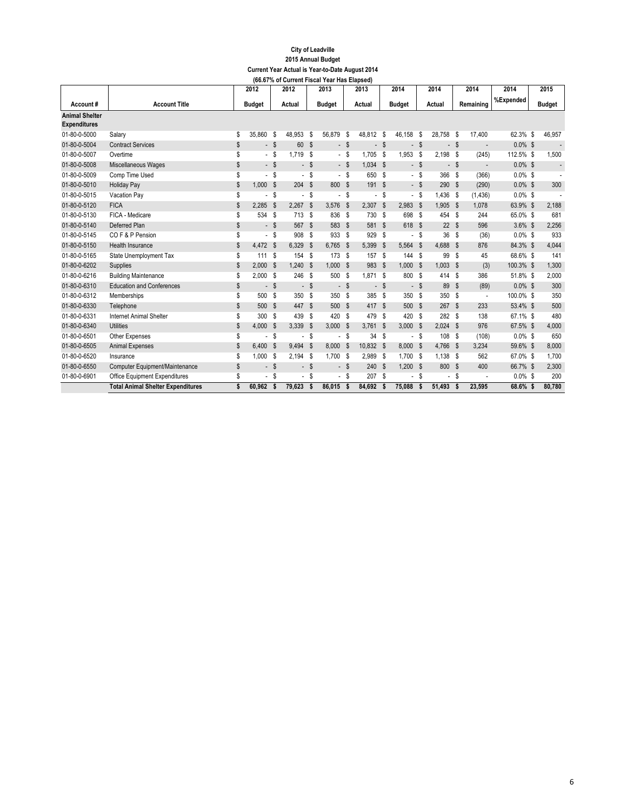|                       |                                          |    | 2012                     |          | vunvin 13<br>2012        |                           | 2013                     |                           | upovuj<br>2013 |              | 2014                     |                           | 2014                     |              | 2014                     | 2014       | 2015                     |
|-----------------------|------------------------------------------|----|--------------------------|----------|--------------------------|---------------------------|--------------------------|---------------------------|----------------|--------------|--------------------------|---------------------------|--------------------------|--------------|--------------------------|------------|--------------------------|
| Account#              | <b>Account Title</b>                     |    | <b>Budget</b>            |          | Actual                   |                           | <b>Budget</b>            |                           | Actual         |              | <b>Budget</b>            |                           | Actual                   |              | Remaining                | %Expended  | <b>Budget</b>            |
| <b>Animal Shelter</b> |                                          |    |                          |          |                          |                           |                          |                           |                |              |                          |                           |                          |              |                          |            |                          |
| <b>Expenditures</b>   |                                          |    |                          |          |                          |                           |                          |                           |                |              |                          |                           |                          |              |                          |            |                          |
| 01-80-0-5000          | Salary                                   | \$ | 35,860                   | - \$     | 48,953                   | S                         | 56,879                   | \$                        | 48,812 \$      |              | 46,158                   | \$                        | 28,758                   | - \$         | 17,400                   | 62.3% \$   | 46,957                   |
| 01-80-0-5004          | <b>Contract Services</b>                 | \$ |                          | - \$     | 60                       | \$                        | $\blacksquare$           | $\boldsymbol{\mathsf{s}}$ |                | - \$         |                          | \$                        |                          | - \$         | $\overline{\phantom{a}}$ | $0.0\%$ \$ |                          |
| 01-80-0-5007          | Overtime                                 | \$ | $\overline{\phantom{a}}$ | -S       | 1,719                    | S                         | $\overline{\phantom{0}}$ | S                         | 1,705 \$       |              | 1,953                    | S                         | 2,198                    | - \$         | (245)                    | 112.5% \$  | 1,500                    |
| 01-80-0-5008          | Miscellaneous Wages                      | \$ |                          | $-$ \$   |                          | - \$                      |                          | - \$                      | $1,034$ \$     |              |                          | $-$ \$                    |                          | - \$         | $\overline{\phantom{a}}$ | $0.0\%$ \$ | $\overline{\phantom{a}}$ |
| 01-80-0-5009          | Comp Time Used                           | \$ | $\overline{\phantom{0}}$ | - S      | $\overline{\phantom{0}}$ | S                         | $\overline{\phantom{a}}$ | S.                        | 650 \$         |              |                          | - \$                      | 366                      | - \$         | (366)                    | $0.0\%$ \$ |                          |
| 01-80-0-5010          | <b>Holiday Pay</b>                       | \$ | 1.000 S                  |          | 204S                     |                           | 800 \$                   |                           | 191 \$         |              |                          | - \$                      | 290 \$                   |              | (290)                    | $0.0\%$ \$ | 300                      |
| 01-80-0-5015          | Vacation Pay                             | \$ |                          | S,       |                          | \$                        |                          | S                         |                | - \$         | $\sim$                   | S                         | 1.436                    | - \$         | (1, 436)                 | $0.0\%$ \$ |                          |
| 01-80-0-5120          | <b>FICA</b>                              | \$ | 2.285                    | -\$      | 2.267                    | <b>S</b>                  | 3,576                    | <b>S</b>                  | $2,307$ \$     |              | 2,983                    | <b>S</b>                  | 1,905                    | $\mathbf{s}$ | 1,078                    | 63.9% \$   | 2,188                    |
| 01-80-0-5130          | FICA - Medicare                          | \$ | 534 \$                   |          | 713                      | -S                        | 836                      | - \$                      | 730 \$         |              | 698                      | S                         | 454 \$                   |              | 244                      | 65.0% \$   | 681                      |
| 01-80-0-5140          | Deferred Plan                            | \$ |                          | - \$     | 567                      | \$                        | 583                      | $\mathbf{\hat{s}}$        | 581 \$         |              | 618                      | -S                        | 22S                      |              | 596                      | $3.6\%$ \$ | 2,256                    |
| 01-80-0-5145          | COF&P Pension                            | \$ |                          | - \$     | 908                      | S                         | 933                      | - \$                      | 929            | - \$         |                          | S                         | 36                       | $\mathbf s$  | (36)                     | $0.0\%$ \$ | 933                      |
| 01-80-0-5150          | Health Insurance                         | \$ | 4,472 \$                 |          | 6,329                    | \$                        | 6,765                    | <b>S</b>                  | 5,399          | $\mathbb{S}$ | 5,564 \$                 |                           | 4,688 \$                 |              | 876                      | 84.3% \$   | 4,044                    |
| 01-80-0-5165          | State Unemployment Tax                   | \$ | 111                      | -S       | 154                      | -S                        | 173                      | -S                        | 157            | - \$         | 144                      | S                         | 99                       | -S           | 45                       | 68.6% \$   | 141                      |
| 01-80-0-6202          | Supplies                                 | \$ | 2,000                    | <b>S</b> | 1,240                    | \$                        | 1.000                    | - \$                      | 983 \$         |              | 1.000                    | <b>S</b>                  | $1.003$ \$               |              | (3)                      | 100.3% \$  | 1,300                    |
| 01-80-0-6216          | <b>Building Maintenance</b>              | S  | $2,000$ \$               |          | 246                      | s.                        | 500                      | - \$                      | $1.871$ \$     |              | 800                      | s.                        | 414 \$                   |              | 386                      | 51.8% \$   | 2,000                    |
| 01-80-0-6310          | <b>Education and Conferences</b>         | \$ | $\overline{\phantom{0}}$ | - \$     | $\overline{\phantom{0}}$ | $\boldsymbol{\mathsf{s}}$ | $\overline{\phantom{0}}$ | $\boldsymbol{\mathsf{s}}$ |                | - \$         | $\overline{\phantom{a}}$ | \$                        | 89                       | - \$         | (89)                     | $0.0\%$ \$ | 300                      |
| 01-80-0-6312          | Memberships                              | \$ | 500                      | - \$     | 350                      | S                         | 350                      | -S                        | 385 \$         |              | 350                      | s.                        | 350                      | - \$         |                          | 100.0% \$  | 350                      |
| 01-80-0-6330          | Telephone                                | \$ | 500 \$                   |          | 447                      | \$                        | 500                      | - \$                      | 417 \$         |              | 500                      | <b>S</b>                  | 267S                     |              | 233                      | 53.4% \$   | 500                      |
| 01-80-0-6331          | <b>Internet Animal Shelter</b>           | \$ | 300                      | - \$     | 439                      | s.                        | 420                      | -S                        | 479 \$         |              | 420                      | s.                        | 282S                     |              | 138                      | 67.1% \$   | 480                      |
| 01-80-0-6340          | <b>Utilities</b>                         | \$ | 4,000                    | - \$     | 3.339                    | S.                        | 3,000                    | - \$                      | $3.761$ \$     |              | 3,000                    | \$                        | $2,024$ \$               |              | 976                      | 67.5% \$   | 4,000                    |
| 01-80-0-6501          | Other Expenses                           | \$ |                          | S,       |                          | \$                        |                          | \$                        | 34S            |              |                          | S                         | 108 \$                   |              | (108)                    | $0.0\%$ \$ | 650                      |
| 01-80-0-6505          | <b>Animal Expenses</b>                   | \$ | 6,400                    | - \$     | 9,494                    | <b>S</b>                  | 8,000                    | $\boldsymbol{\mathsf{s}}$ | 10,832 \$      |              | 8,000                    | $\boldsymbol{\mathsf{s}}$ | 4,766                    | - \$         | 3,234                    | 59.6% \$   | 8,000                    |
| 01-80-0-6520          | Insurance                                | \$ | 1.000 S                  |          | $2.194$ \$               |                           | 1.700                    | - \$                      | 2.989S         |              | 1.700                    | <b>S</b>                  | $1.138$ \$               |              | 562                      | 67.0% \$   | 1,700                    |
| 01-80-0-6550          | Computer Equipment/Maintenance           | \$ |                          | - \$     |                          | - \$                      |                          | $-$ \$                    | 240 \$         |              | 1,200                    | \$                        | 800 \$                   |              | 400                      | 66.7% \$   | 2,300                    |
| 01-80-0-6901          | <b>Office Equipment Expenditures</b>     | \$ | $\overline{\phantom{0}}$ | - \$     |                          | S                         | $\overline{\phantom{0}}$ | -S                        | 207S           |              |                          | S                         | $\overline{\phantom{0}}$ | - \$         |                          | $0.0\%$ \$ | 200                      |
|                       | <b>Total Animal Shelter Expenditures</b> | \$ | 60.962 \$                |          | 79.623                   | $\mathbf{s}$              | 86.015                   | -S                        | 84.692 \$      |              | 75.088                   | S.                        | 51.493                   | $\mathbf{s}$ | 23.595                   | 68.6% \$   | 80.780                   |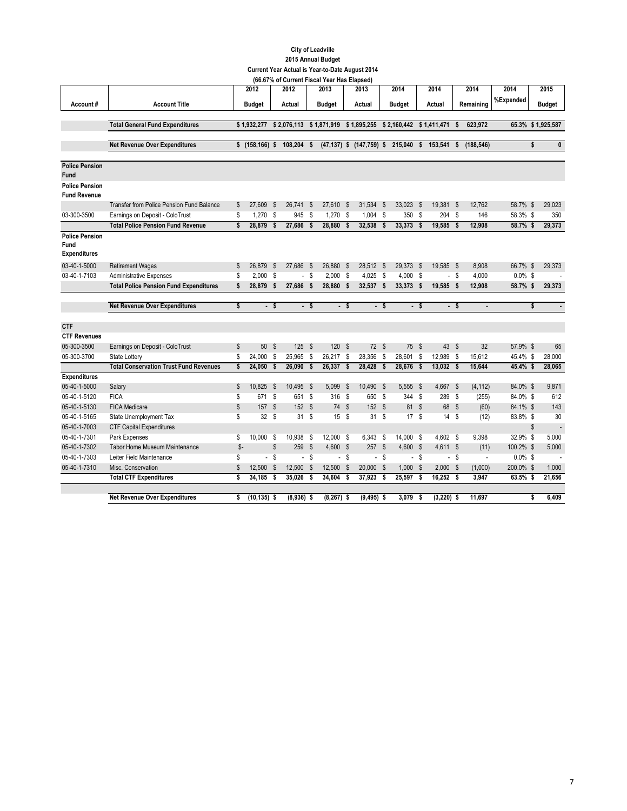### **City of Leadville 2015 Annual Budget Current Year Actual is Year-to-Date August 2014**

|                                                      |                                                  |      |                  |              |              |               | (66.67% of Current Fiscal Year Has Elapsed) |              |                                                                  |      |               |      |              |        |                          |            |                           |                   |
|------------------------------------------------------|--------------------------------------------------|------|------------------|--------------|--------------|---------------|---------------------------------------------|--------------|------------------------------------------------------------------|------|---------------|------|--------------|--------|--------------------------|------------|---------------------------|-------------------|
|                                                      |                                                  |      | 2012             |              | 2012         |               | 2013                                        |              | 2013                                                             |      | 2014          |      | 2014         |        | 2014                     | 2014       |                           | 2015              |
| Account#                                             | <b>Account Title</b>                             |      | <b>Budget</b>    |              | Actual       |               | <b>Budget</b>                               |              | Actual                                                           |      | <b>Budget</b> |      | Actual       |        | Remaining                | %Expended  |                           | <b>Budget</b>     |
|                                                      |                                                  |      |                  |              |              |               |                                             |              |                                                                  |      |               |      |              |        |                          |            |                           |                   |
|                                                      | <b>Total General Fund Expenditures</b>           |      | \$1,932,277      |              |              |               |                                             |              | $$2,076,113$ $$1,871,919$ $$1,895,255$ $$2,160,442$ $$1,411,471$ |      |               |      |              | \$     | 623.972                  |            |                           | 65.3% \$1,925,587 |
|                                                      |                                                  |      | $$$ (158,166) \$ |              | 108,204 \$   |               |                                             |              |                                                                  |      |               |      | 153,541      |        | (188, 546)               |            | \$                        | 0                 |
|                                                      | <b>Net Revenue Over Expenditures</b>             |      |                  |              |              |               |                                             |              | $(47, 137)$ \$ $(147, 759)$ \$                                   |      | 215,040       | s.   |              | \$     |                          |            |                           |                   |
| <b>Police Pension</b><br><b>Fund</b>                 |                                                  |      |                  |              |              |               |                                             |              |                                                                  |      |               |      |              |        |                          |            |                           |                   |
| <b>Police Pension</b><br><b>Fund Revenue</b>         |                                                  |      |                  |              |              |               |                                             |              |                                                                  |      |               |      |              |        |                          |            |                           |                   |
|                                                      | <b>Transfer from Police Pension Fund Balance</b> | \$   | 27.609           | - \$         | 26,741       | S             | 27,610                                      | <b>S</b>     | 31,534                                                           | - \$ | 33,023        | - \$ | 19,381 \$    |        | 12,762                   | 58.7% \$   |                           | 29,023            |
| 03-300-3500                                          | Earnings on Deposit - ColoTrust                  | \$   | $1,270$ \$       |              | 945          | s             | $1,270$ \$                                  |              | $1,004$ \$                                                       |      | 350           | - S  | 204 \$       |        | 146                      | 58.3% \$   |                           | 350               |
|                                                      | <b>Total Police Pension Fund Revenue</b>         | \$   | 28,879           | - \$         | 27,686       | \$            | 28,880                                      | - \$         | 32,538                                                           | \$   | 33,373        | - \$ | 19,585 \$    |        | 12,908                   | 58.7%\$    |                           | 29,373            |
| <b>Police Pension</b><br>Fund<br><b>Expenditures</b> |                                                  |      |                  |              |              |               |                                             |              |                                                                  |      |               |      |              |        |                          |            |                           |                   |
| 03-40-1-5000                                         | <b>Retirement Wages</b>                          | \$   | 26,879           | $\mathbb{S}$ | 27,686       | - \$          | 26,880                                      | - \$         | 28,512 \$                                                        |      | 29,373        | - \$ | 19,585 \$    |        | 8,908                    | 66.7% \$   |                           | 29,373            |
| 03-40-1-7103                                         | <b>Administrative Expenses</b>                   | \$   | $2,000$ \$       |              | $\sim$       | \$            | $2,000$ \$                                  |              | $4,025$ \$                                                       |      | 4,000         | - \$ |              | $-$ \$ | 4,000                    | $0.0\%$ \$ |                           |                   |
|                                                      | <b>Total Police Pension Fund Expenditures</b>    | \$   | 28,879           | $\mathbf{s}$ | 27,686       | $\mathbf{s}$  | 28,880                                      | $\mathbf{s}$ | 32,537 \$                                                        |      | 33,373 \$     |      | 19,585 \$    |        | 12,908                   | 58.7% \$   |                           | 29,373            |
|                                                      |                                                  |      |                  |              |              |               |                                             |              |                                                                  |      |               |      |              |        |                          |            |                           |                   |
|                                                      | <b>Net Revenue Over Expenditures</b>             | \$   |                  | - \$         |              | - \$          |                                             | - \$         |                                                                  | - \$ |               | - \$ |              | - \$   | ٠                        |            | \$                        |                   |
|                                                      |                                                  |      |                  |              |              |               |                                             |              |                                                                  |      |               |      |              |        |                          |            |                           |                   |
| <b>CTF</b>                                           |                                                  |      |                  |              |              |               |                                             |              |                                                                  |      |               |      |              |        |                          |            |                           |                   |
| <b>CTF Revenues</b><br>05-300-3500                   |                                                  | \$   | 50 \$            |              | 125          | $\mathsf{\$}$ | 120S                                        |              | 72S                                                              |      | 75            | - \$ | 43 \$        |        | 32                       | 57.9% \$   |                           | 65                |
| 05-300-3700                                          | Earnings on Deposit - ColoTrust<br>State Lottery | \$   | 24,000 \$        |              | 25,965       | S             | 26,217 \$                                   |              | 28,356 \$                                                        |      | 28,601 \$     |      | 12,989 \$    |        | 15,612                   | 45.4% \$   |                           | 28,000            |
|                                                      | <b>Total Conservation Trust Fund Revenues</b>    | \$   | 24,050           | \$           | 26,090       | \$            | 26,337                                      | $\mathbf{s}$ | 28,428                                                           | \$   | 28,676        | - \$ | 13,032 \$    |        | 15,644                   | 45.4% \$   |                           | 28,065            |
| <b>Expenditures</b>                                  |                                                  |      |                  |              |              |               |                                             |              |                                                                  |      |               |      |              |        |                          |            |                           |                   |
| 05-40-1-5000                                         | Salary                                           | S    | 10,825           | - \$         | 10,495       | - \$          | 5,099                                       | - \$         | 10,490 \$                                                        |      | 5,555         | - \$ | 4,667 \$     |        | (4, 112)                 | 84.0% \$   |                           | 9,871             |
| 05-40-1-5120                                         | <b>FICA</b>                                      | \$   | 671              | - \$         | 651 \$       |               | 316 \$                                      |              | 650 \$                                                           |      | 344           | - \$ | 289 \$       |        | (255)                    | 84.0% \$   |                           | 612               |
| 05-40-1-5130                                         | <b>FICA Medicare</b>                             | \$   | 157S             |              | 152S         |               | 74 \$                                       |              | 152S                                                             |      | 81 \$         |      | 68 \$        |        | (60)                     | 84.1% \$   |                           | 143               |
| 05-40-1-5165                                         | State Unemployment Tax                           | \$   | 32S              |              | 31S          |               | 15S                                         |              | 31S                                                              |      | 17S           |      | 14S          |        | (12)                     | 83.8% \$   |                           | 30                |
| 05-40-1-7003                                         | <b>CTF Capital Expenditures</b>                  |      |                  |              |              |               |                                             |              |                                                                  |      |               |      |              |        |                          |            | $\boldsymbol{\mathsf{S}}$ |                   |
| 05-40-1-7301                                         | Park Expenses                                    | \$   | 10,000 \$        |              | 10.938       | - \$          | 12,000 \$                                   |              | 6,343 \$                                                         |      | 14.000 \$     |      | 4.602 \$     |        | 9.398                    | 32.9% \$   |                           | 5,000             |
| 05-40-1-7302                                         | <b>Tabor Home Museum Maintenance</b>             | $S-$ |                  | \$           | 259          | $\mathbb{S}$  | 4,600 \$                                    |              | 257S                                                             |      | $4,600$ \$    |      | $4,611$ \$   |        | (11)                     | 100.2% \$  |                           | 5,000             |
| 05-40-1-7303                                         | Leiter Field Maintenance                         | \$   |                  | $-$ \$       |              | $-$ \$        |                                             | $-$ \$       |                                                                  | - \$ |               | - \$ |              | - \$   | $\overline{\phantom{a}}$ | $0.0\%$ \$ |                           |                   |
| 05-40-1-7310                                         | Misc. Conservation                               | \$   | 12,500 \$        |              | 12,500       | $\mathsf{\$}$ | 12,500 \$                                   |              | 20,000 \$                                                        |      | $1,000$ \$    |      | $2,000$ \$   |        | (1,000)                  | 200.0% \$  |                           | 1,000             |
|                                                      | <b>Total CTF Expenditures</b>                    | \$   | 34,185           | - \$         | 35,026       | \$            | 34,604                                      | - \$         | 37,923                                                           | -S   | 25,597        | -\$  | 16,252 \$    |        | 3,947                    | 63.5% \$   |                           | 21,656            |
|                                                      |                                                  |      |                  |              |              |               |                                             |              |                                                                  |      |               |      |              |        |                          |            |                           |                   |
|                                                      | <b>Net Revenue Over Expenditures</b>             | \$   | $(10, 135)$ \$   |              | $(8,936)$ \$ |               | $(8, 267)$ \$                               |              | $(9,495)$ \$                                                     |      | 3,079         | -S   | $(3,220)$ \$ |        | 11.697                   |            | \$                        | 6,409             |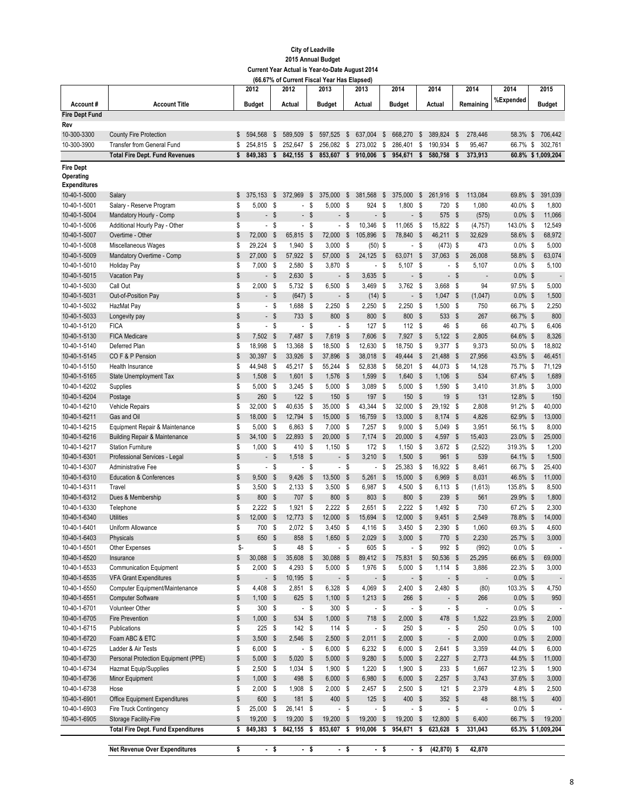|                              |                                                          |          | 2012                |               | 2012                     |                                 | 2013                     |                       | 2013                   |                           | 2014                     |                           | 2014                     |        | 2014                     | 2014                   | 2015              |
|------------------------------|----------------------------------------------------------|----------|---------------------|---------------|--------------------------|---------------------------------|--------------------------|-----------------------|------------------------|---------------------------|--------------------------|---------------------------|--------------------------|--------|--------------------------|------------------------|-------------------|
| Account#                     | <b>Account Title</b>                                     |          | <b>Budget</b>       |               | Actual                   |                                 | <b>Budget</b>            |                       | Actual                 |                           | <b>Budget</b>            |                           | Actual                   |        | Remaining                | %Expended              | <b>Budget</b>     |
| <b>Fire Dept Fund</b>        |                                                          |          |                     |               |                          |                                 |                          |                       |                        |                           |                          |                           |                          |        |                          |                        |                   |
| Rev                          |                                                          |          |                     |               |                          |                                 |                          |                       |                        |                           |                          |                           |                          |        |                          |                        |                   |
| 10-300-3300                  | <b>County Fire Protection</b>                            | \$       | 594.568             | \$            | 589,509                  | \$                              | 597,525                  | \$                    | 637.004                | \$                        | 668.270                  | \$                        | 389.824                  | \$     | 278.446                  | 58.3% \$               | 706,442           |
| 10-300-3900                  | <b>Transfer from General Fund</b>                        | \$       | 254,815             | \$            | 252,647                  | \$                              | 256,082                  | \$                    | 273,002                | \$                        | 286,401                  | \$                        | 190.934                  | - \$   | 95,467                   | 66.7% \$               | 302,761           |
|                              | <b>Total Fire Dept. Fund Revenues</b>                    | \$       | 849,383             | \$            | 842.155                  | \$                              | 853,607                  | \$                    | 910,006                | \$                        | 954,671                  | \$                        | 580,758                  | \$     | 373,913                  |                        | 60.8% \$1,009,204 |
| <b>Fire Dept</b>             |                                                          |          |                     |               |                          |                                 |                          |                       |                        |                           |                          |                           |                          |        |                          |                        |                   |
| Operating                    |                                                          |          |                     |               |                          |                                 |                          |                       |                        |                           |                          |                           |                          |        |                          |                        |                   |
| <b>Expenditures</b>          |                                                          |          |                     |               |                          |                                 |                          |                       |                        |                           |                          |                           |                          |        |                          |                        |                   |
| 10-40-1-5000                 | Salary                                                   | \$       | 375.153             | S             | 372,969                  | \$                              | 375,000                  | \$                    | 381.568                | \$                        | 375,000                  | \$                        | 261,916                  | \$     | 113,084                  | 69.8%                  | \$<br>391,039     |
| 10-40-1-5001                 | Salary - Reserve Program                                 | \$       | 5,000               | - \$          | $\overline{\phantom{a}}$ | \$                              | 5,000                    | \$                    | 924                    | S                         | 1,800                    | \$                        | 720                      | - \$   | 1,080                    | 40.0% \$               | 1,800             |
| 10-40-1-5004                 | Mandatory Hourly - Comp                                  | \$       |                     | - \$          | $\overline{\phantom{a}}$ | \$                              | $\overline{\phantom{a}}$ | $\mathsf{\$}$         |                        | $-$ \$                    | $\overline{\phantom{0}}$ | \$                        | 575 \$                   |        | (575)                    | $0.0\%$ \$             | 11,066            |
| 10-40-1-5006                 | Additional Hourly Pay - Other                            | \$       |                     | - \$          | $\blacksquare$           | S                               | $\overline{\phantom{a}}$ | \$                    | 10,346                 | $\mathsf{\$}$             | 11,065                   | - \$                      | 15,822 \$                |        | (4, 757)                 | 143.0% \$              | 12,549            |
| 10-40-1-5007<br>10-40-1-5008 | Overtime - Other<br>Miscellaneous Wages                  | \$<br>\$ | 72,000<br>29,224 \$ | \$            | 65,815<br>1,940          | $\boldsymbol{\mathsf{s}}$<br>\$ | 72,000<br>3,000          | $\mathsf{\$}$<br>- \$ | 105,896<br>$(50)$ \$   | - \$                      | 78,840                   | $\mathsf{\$}$<br>\$       | 46,211 \$<br>$(473)$ \$  |        | 32,629<br>473            | 58.6% \$<br>$0.0\%$ \$ | 68,972<br>5,000   |
| 10-40-1-5009                 | Mandatory Overtime - Comp                                | \$       | 27,000              | - \$          | 57,922                   | \$                              | 57,000                   | - \$                  | 24,125                 | \$                        | $\blacksquare$<br>63,071 | \$                        | 37,063 \$                |        | 26,008                   | 58.8% \$               | 63,074            |
| 10-40-1-5010                 | Holiday Pay                                              | \$       | 7,000               | - \$          | 2,580                    | \$                              | 3,870                    | - \$                  |                        | - \$                      | 5,107                    | S                         | $\overline{\phantom{a}}$ | - \$   | 5,107                    | $0.0\%$ \$             | 5,100             |
| 10-40-1-5015                 | Vacation Pay                                             | \$       |                     | - \$          | 2,630                    | $\sqrt[6]{3}$                   |                          | - \$                  | $3,635$ \$             |                           |                          | - \$                      | - \$                     |        | $\overline{a}$           | $0.0\%$ \$             |                   |
| 10-40-1-5030                 | Call Out                                                 | \$       | $2,000$ \$          |               | 5,732 \$                 |                                 | 6,500                    | - \$                  | 3,469 \$               |                           | 3,762                    | - \$                      | 3,668 \$                 |        | 94                       | 97.5% \$               | 5,000             |
| 10-40-1-5031                 | Out-of-Position Pay                                      | \$       |                     | - \$          | $(647)$ \$               |                                 |                          | - \$                  | $(14)$ \$              |                           |                          | - \$                      | $1,047$ \$               |        | (1,047)                  | $0.0\%$ \$             | 1,500             |
| 10-40-1-5032                 | HazMat Pay                                               | \$       |                     | - \$          | 1,688                    | - \$                            | 2,250                    | S,                    | 2,250                  | - \$                      | 2,250                    | - \$                      | 1.500S                   |        | 750                      | 66.7% \$               | 2,250             |
| 10-40-1-5033                 | Longevity pay                                            | \$       |                     | - \$          | 733                      | $\boldsymbol{\mathsf{s}}$       | 800                      | \$                    | 800 \$                 |                           | 800                      | \$                        | 533 \$                   |        | 267                      | 66.7% \$               | 800               |
| 10-40-1-5120                 | <b>FICA</b>                                              | \$       |                     | - \$          | $\overline{\phantom{a}}$ | \$                              |                          | - \$                  | 127S                   |                           | 112S                     |                           | 46                       | - \$   | 66                       | 40.7% \$               | 6,406             |
| 10-40-1-5130                 | <b>FICA Medicare</b>                                     | \$       | 7,502 \$            |               | 7,487                    | $\boldsymbol{\mathsf{s}}$       | 7,619                    | - \$                  | 7,606                  | - \$                      | 7,927 \$                 |                           | 5,122 \$                 |        | 2,805                    | 64.6% \$               | 8,326             |
| 10-40-1-5140                 | Deferred Plan                                            | \$       | 18.998 \$           |               | 13,368                   | S.                              | 18,500                   | - \$                  | 12,630 \$              |                           | 18,750                   | - \$                      | 9,377 \$                 |        | 9,373                    | 50.0% \$               | 18,802            |
| 10-40-1-5145                 | COF&P Pension                                            | \$       | 30,397 \$           |               | 33,926                   | $\mathsf{\$}$                   | 37,896                   | - \$                  | 38,018 \$              |                           | 49,444                   | $\mathsf{\$}$             | 21.488                   | - \$   | 27,956                   | 43.5% \$               | 46,451            |
| 10-40-1-5150                 | Health Insurance                                         | \$       | 44,948 \$           |               | 45,217 \$                |                                 | 55,244 \$                |                       | 52,838                 | - \$                      | 58,201 \$                |                           | 44,073 \$                |        | 14,128                   | 75.7% \$               | 71,129            |
| 10-40-1-5165                 | State Unemployment Tax                                   | \$       | 1,508               | - \$          | 1,601                    | $\boldsymbol{\mathsf{s}}$       | 1,576                    | - \$                  | 1,599                  | - \$                      | 1,640                    | $\mathsf{\$}$             | $1,106$ \$               |        | 534                      | 67.4% \$               | 1,689             |
| 10-40-1-6202                 | Supplies                                                 | \$       | $5,000$ \$          |               | 3,245                    | - \$                            | 5,000                    | - \$                  | 3,089                  | - \$                      | 5,000                    | - \$                      | $1,590$ \$               |        | 3,410                    | 31.8% \$               | 3,000             |
| 10-40-1-6204                 | Postage                                                  | \$       | 260                 | - \$          | 122                      | - \$                            | 150                      | - \$                  | 197 \$                 |                           | 150                      | \$                        | 19S                      |        | 131                      | 12.8% \$               | 150               |
| 10-40-1-6210                 | Vehicle Repairs                                          | \$       | 32,000              | - \$          | 40,635                   | \$                              | 35,000                   | - \$                  | 43,344                 | \$                        | 32,000                   | S                         | 29,192 \$                |        | 2,808                    | 91.2% \$               | 40,000            |
| 10-40-1-6211                 | Gas and Oil                                              | \$       | 18,000              | - \$          | 12,794                   | \$                              | 15,000                   | - \$                  | 16,759                 | - \$                      | 13,000 \$                |                           | 8,174 \$                 |        | 4,826                    | 62.9% \$               | 13,000            |
| 10-40-1-6215                 | Equipment Repair & Maintenance                           | \$       | 5,000               | - \$          | 6,863                    | S                               | 7,000                    | - \$                  | 7,257                  | $\mathbb{S}$              | 9,000                    | - \$                      | 5,049                    | - \$   | 3,951                    | 56.1% \$               | 8,000             |
| 10-40-1-6216                 | Building Repair & Maintenance                            | \$       | 34,100              | - \$          | 22,893                   | $\mathbb{S}$                    | 20,000                   | - \$                  | 7,174                  | $\boldsymbol{\mathsf{s}}$ | 20,000                   | - \$                      | 4,597 \$                 |        | 15,403                   | 23.0% \$               | 25,000            |
| 10-40-1-6217                 | <b>Station Furniture</b>                                 | \$       | 1,000               | - \$          | 410                      | -\$                             | 1,150                    | - \$                  | 172S                   |                           | $1,150$ \$               |                           | 3,672 \$                 |        | (2, 522)                 | 319.3% \$              | 1,200             |
| 10-40-1-6301                 | Professional Services - Legal                            | \$       |                     | - \$          | 1,518                    | - \$                            |                          | - \$                  | 3,210                  | - \$                      | 1,500                    | \$                        | 961 \$                   |        | 539                      | 64.1% \$               | 1,500             |
| 10-40-1-6307<br>10-40-1-6310 | Administrative Fee<br><b>Education &amp; Conferences</b> | \$<br>\$ |                     | - \$<br>- \$  | $\overline{\phantom{a}}$ | \$<br>$\boldsymbol{\mathsf{s}}$ |                          | - \$<br>- \$          |                        | $-$ \$                    | 25,383                   | - \$<br>- \$              | 16,922 \$                | - \$   | 8,461                    | 66.7% \$               | 25,400<br>11,000  |
| 10-40-1-6311                 | Travel                                                   | \$       | 9,500<br>3,500      | - \$          | 9,426<br>2,133           | \$                              | 13,500<br>3,500          | - \$                  | $5,261$ \$<br>6,987 \$ |                           | 15,000<br>4,500          | - \$                      | 6,969<br>$6,113$ \$      |        | 8,031<br>(1,613)         | 46.5% \$<br>135.8% \$  | 8,500             |
| 10-40-1-6312                 | Dues & Membership                                        | \$       | 800 \$              |               | 707                      | \$                              | 800 \$                   |                       | 803 \$                 |                           | 800                      | $\boldsymbol{\mathsf{s}}$ | 239S                     |        | 561                      | 29.9% \$               | 1,800             |
| 10-40-1-6330                 | Telephone                                                | \$       | $2,222$ \$          |               | 1,921                    | S                               | $2,222$ \$               |                       | 2,651 \$               |                           | $2,222$ \$               |                           | 1,492 \$                 |        | 730                      | 67.2% \$               | 2,300             |
| 10-40-1-6340                 | <b>Utilities</b>                                         | \$       | 12,000              | - \$          | 12,773                   | $\boldsymbol{\mathsf{s}}$       | 12,000                   | - \$                  | 15,694                 | - \$                      | 12,000                   | \$                        | $9,451$ \$               |        | 2,549                    | 78.8% \$               | 14,000            |
| 10-40-1-6401                 | Uniform Allowance                                        | \$       | 700                 | - \$          | 2,072                    | - \$                            | 3,450                    | - \$                  | 4,116 \$               |                           | 3,450                    | - \$                      | $2,390$ \$               |        | 1,060                    | 69.3% \$               | 4,600             |
| 10-40-1-6403                 | Physicals                                                | \$       | 650                 | - \$          | 858                      | $\mathsf{\$}$                   | 1,650                    | $\mathbf{s}$          | $2,029$ \$             |                           | 3,000                    | <b>S</b>                  | 770                      | \$     | 2,230                    | 25.7% \$               | 3,000             |
| 10-40-1-6501                 | Other Expenses                                           | \$-      |                     | \$            | 48 \$                    |                                 |                          | $-$ \$                | 605 \$                 |                           |                          | $-$ \$                    | 992 \$                   |        | (992)                    | $0.0\%$ \$             |                   |
| 10-40-1-6520                 | Insurance                                                | \$       | 30,088 \$           |               | 35,608                   | \$                              | 30,088                   | - \$                  | 89,412 \$              |                           | 75,831 \$                |                           | 50,536 \$                |        | 25,295                   | 66.6% \$               | 69,000            |
| 10-40-1-6533                 | <b>Communication Equipment</b>                           | \$       | $2,000$ \$          |               | $4,293$ \$               |                                 | $5,000$ \$               |                       | 1,976 \$               |                           | $5,000$ \$               |                           | $1,114$ \$               |        | 3,886                    | 22.3% \$               | 3,000             |
| 10-40-1-6535                 | <b>VFA Grant Expenditures</b>                            | \$       |                     | - \$          | $10,195$ \$              |                                 |                          | - \$                  |                        | - \$                      |                          | - \$                      | - \$                     |        | $\overline{\phantom{a}}$ | $0.0\%$ \$             |                   |
| 10-40-1-6550                 | Computer Equipment/Maintenance                           | \$       | 4,408 \$            |               | $2,851$ \$               |                                 | $6,328$ \$               |                       | 4,069 \$               |                           | $2,400$ \$               |                           | 2,480 \$                 |        | (80)                     | 103.3% \$              | 4,750             |
| 10-40-1-6551                 | <b>Computer Software</b>                                 | \$       | $1,100$ \$          |               | 625 \$                   |                                 | $1,100$ \$               |                       | $1,213$ \$             |                           | 266 \$                   |                           |                          | $-$ \$ | 266                      | $0.0\%$ \$             | 950               |
| 10-40-1-6701                 | Volunteer Other                                          | \$       | 300 \$              |               | $-$ \$                   |                                 | 300 \$                   |                       |                        | - \$                      |                          | - \$                      | - \$                     |        | $\overline{\phantom{a}}$ | $0.0\%$ \$             |                   |
| 10-40-1-6705                 | <b>Fire Prevention</b>                                   | \$       | $1,000$ \$          |               | 534 \$                   |                                 | $1,000$ \$               |                       | 718 \$                 |                           | $2,000$ \$               |                           | 478 \$                   |        | 1,522                    | 23.9% \$               | 2,000             |
| 10-40-1-6715                 | Publications                                             | \$       | $225$ \$            |               | 142S                     |                                 | 114S                     |                       |                        | $-$ \$                    | 250 \$                   |                           | $-$ \$                   |        | 250                      | $0.0\%$ \$             | 100               |
| 10-40-1-6720                 | Foam ABC & ETC                                           | \$       | $3,500$ \$          |               | $2,546$ \$               |                                 | $2,500$ \$               |                       | $2,011$ \$             |                           | $2,000$ \$               |                           | $-$ \$                   |        | 2,000                    | $0.0\%$ \$             | 2,000             |
| 10-40-1-6725                 | Ladder & Air Tests                                       | \$       | $6,000$ \$          |               | - \$                     |                                 | $6,000$ \$               |                       | $6,232$ \$             |                           | $6,000$ \$               |                           | 2,641 \$                 |        | 3,359                    | 44.0% \$               | 6,000             |
| 10-40-1-6730                 | Personal Protection Equipment (PPE)                      | \$       | $5,000$ \$          |               | 5,020                    | $\sqrt[6]{3}$                   | $5,000$ \$               |                       | $9,280$ \$             |                           | $5,000$ \$               |                           | $2,227$ \$               |        | 2,773                    | 44.5% \$               | 11,000            |
| 10-40-1-6734                 | <b>Hazmat Equip/Supplies</b>                             | \$       | $2,500$ \$          |               | $1,034$ \$               |                                 | $1,900$ \$               |                       | $1,220$ \$             |                           | $1,900$ \$               |                           | 233S                     |        | 1,667                    | $12.3\%$ \$            | 1,900             |
| 10-40-1-6736                 | Minor Equipment                                          | \$       | $1,000$ \$          |               | 498                      | -\$                             | $6,000$ \$               |                       | 6,980 \$               |                           | $6,000$ \$               |                           | $2,257$ \$               |        | 3,743                    | 37.6% \$               | 3,000             |
| 10-40-1-6738                 | Hose                                                     | \$       | $2,000$ \$          |               | 1,908                    | -\$                             | $2,000$ \$               |                       | 2,457 \$               |                           | $2,500$ \$               |                           | 121S                     |        | 2,379                    | 4.8% \$                | 2,500             |
| 10-40-1-6901                 | Office Equipment Expenditures                            | \$       | 600 \$              |               | 181 \$                   |                                 | 400 \$                   |                       | $125$ \$               |                           | 400 \$                   |                           | $352$ \$                 |        | 48                       | 88.1% \$               | 400               |
| 10-40-1-6903                 | Fire Truck Contingency                                   | \$       | 25,000 \$           |               | 26,141 \$                |                                 |                          | $-$ \$                |                        | $-$ \$                    |                          | - \$                      | $-$ \$                   |        | $\overline{\phantom{a}}$ | $0.0\%$ \$             |                   |
| 10-40-1-6905                 | Storage Facility-Fire                                    | \$       | 19,200 \$           |               | 19,200                   | $\sqrt[6]{3}$                   | 19,200                   | $\sqrt{3}$            | 19,200                 | $\sqrt[6]{3}$             | 19,200                   | - \$                      | 12,800 \$                |        | 6,400                    | 66.7% \$               | 19,200            |
|                              | <b>Total Fire Dept. Fund Expenditures</b>                | \$       | 849,383             | -\$           | 842,155                  | \$                              | 853,607 \$               |                       | 910,006                | \$                        | 954,671 \$               |                           | 623,628                  | \$     | 331,043                  |                        | 65.3% \$1,009,204 |
|                              | <b>Net Revenue Over Expenditures</b>                     | \$       |                     | $\frac{1}{2}$ | $\frac{1}{\epsilon}$     |                                 |                          | $\frac{1}{2}$         |                        | $\frac{1}{\epsilon}$      |                          | - \$                      | $(42, 870)$ \$           |        | 42,870                   |                        |                   |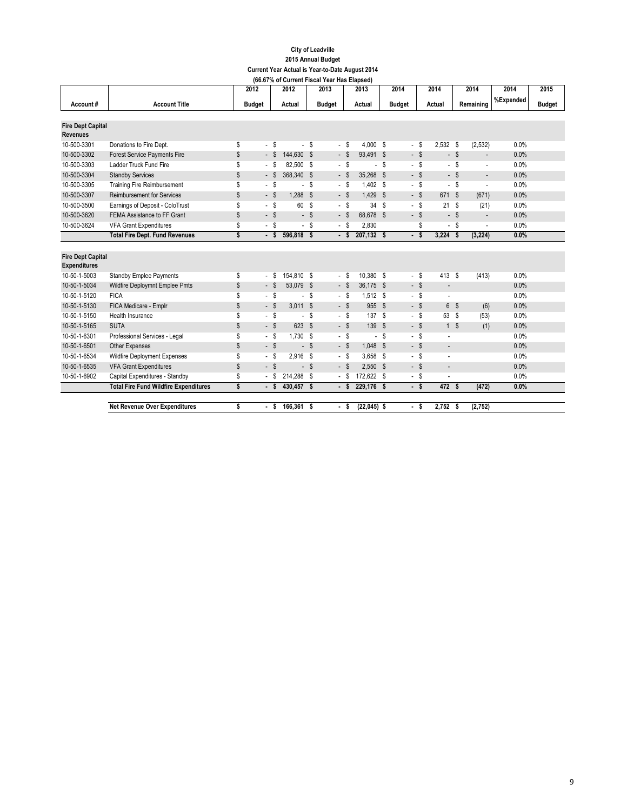|                          |                                              | 2012          |                          |      | 2012                     |                           | 2013           |        | --,<br>2013   |        | 2014          |           | 2014            |               | 2014                     | 2014      | 2015          |
|--------------------------|----------------------------------------------|---------------|--------------------------|------|--------------------------|---------------------------|----------------|--------|---------------|--------|---------------|-----------|-----------------|---------------|--------------------------|-----------|---------------|
| Account#                 | <b>Account Title</b>                         | <b>Budget</b> |                          |      | Actual                   |                           | <b>Budget</b>  |        | Actual        |        | <b>Budget</b> |           | Actual          |               | Remaining                | %Expended | <b>Budget</b> |
|                          |                                              |               |                          |      |                          |                           |                |        |               |        |               |           |                 |               |                          |           |               |
| <b>Fire Dept Capital</b> |                                              |               |                          |      |                          |                           |                |        |               |        |               |           |                 |               |                          |           |               |
| <b>Revenues</b>          |                                              |               |                          |      |                          |                           |                |        |               |        |               |           |                 |               |                          |           |               |
| 10-500-3301              | Donations to Fire Dept.                      | \$            | - \$                     |      |                          | - \$                      |                | - \$   | 4.000 S       |        |               | $-$ \$    | 2.532S          |               | (2, 532)                 | 0.0%      |               |
| 10-500-3302              | <b>Forest Service Payments Fire</b>          | \$            | $-$ \$                   |      | 144,630 \$               |                           |                | $-$ \$ | 93,491 \$     |        |               | $-$ \$    |                 | $-$ \$        | $\overline{\phantom{a}}$ | 0.0%      |               |
| 10-500-3303              | Ladder Truck Fund Fire                       | \$            | - \$                     |      | 82,500 \$                |                           |                | - \$   |               | $-$ \$ |               | $-$ \$    | - \$            |               | $\overline{a}$           | 0.0%      |               |
| 10-500-3304              | <b>Standby Services</b>                      | \$            | $-$ \$                   |      | 368,340 \$               |                           |                | $-$ \$ | 35,268 \$     |        | - \$          |           |                 | $-$ \$        | $\overline{\phantom{a}}$ | 0.0%      |               |
| 10-500-3305              | <b>Training Fire Reimbursement</b>           | \$            | - \$                     |      |                          | s.                        |                | - \$   | 1.402 S       |        | - \$          |           | - \$            |               | $\overline{a}$           | 0.0%      |               |
| 10-500-3307              | <b>Reimbursement for Services</b>            | \$            | $-$ \$                   |      | 1,288                    | $\boldsymbol{\mathsf{s}}$ |                | $-$ \$ | 1.429 S       |        | $-$ \$        |           | 671 \$          |               | (671)                    | 0.0%      |               |
| 10-500-3500              | Earnings of Deposit - ColoTrust              | \$            | - \$                     |      | 60                       | S                         |                | $-$ \$ | 34S           |        |               | $-$ \$    | 21S             |               | (21)                     | 0.0%      |               |
| 10-500-3620              | FEMA Assistance to FF Grant                  | \$            | $-$ \$                   |      |                          | - \$                      |                | - \$   | 68,678 \$     |        | $-$ \$        |           |                 | $-$ \$        | $\overline{\phantom{a}}$ | 0.0%      |               |
| 10-500-3624              | <b>VFA Grant Expenditures</b>                | \$            | - \$                     |      | $\overline{\phantom{0}}$ | S                         |                | - \$   | 2,830         |        |               | \$        |                 | $-$ \$        | $\overline{\phantom{a}}$ | 0.0%      |               |
|                          | <b>Total Fire Dept. Fund Revenues</b>        | \$            | - \$                     |      | 596,818 \$               |                           |                | $-5$   | 207,132 \$    |        | - \$          |           | $3,224$ \$      |               | (3, 224)                 | 0.0%      |               |
|                          |                                              |               |                          |      |                          |                           |                |        |               |        |               |           |                 |               |                          |           |               |
| <b>Fire Dept Capital</b> |                                              |               |                          |      |                          |                           |                |        |               |        |               |           |                 |               |                          |           |               |
| <b>Expenditures</b>      |                                              |               |                          |      |                          |                           |                |        |               |        |               |           |                 |               |                          |           |               |
| 10-50-1-5003             | <b>Standby Emplee Payments</b>               | \$            | $\overline{\phantom{a}}$ | - \$ | 154,810 \$               |                           | $\blacksquare$ | - \$   | 10,380 \$     |        |               | $-$ \$    | 413 \$          |               | (413)                    | 0.0%      |               |
| 10-50-1-5034             | Wildfire Deploymnt Emplee Pmts               | \$            | $-$ \$                   |      | 53,079                   | <b>S</b>                  |                | $-$ \$ | 36,175 \$     |        | $-$ \$        |           | $\overline{a}$  |               |                          | 0.0%      |               |
| 10-50-1-5120             | <b>FICA</b>                                  | \$            | $-$ \$                   |      | $\overline{a}$           | \$                        |                | - \$   | $1,512$ \$    |        |               | $-$ \$    | ÷,              |               |                          | 0.0%      |               |
| 10-50-1-5130             | FICA Medicare - Emplr                        | \$            | $-$ \$                   |      | $3,011$ \$               |                           |                | $-$ \$ | 955 \$        |        | $-$ \$        |           | $6\phantom{.0}$ | $\mathsf{\$}$ | (6)                      | 0.0%      |               |
| 10-50-1-5150             | Health Insurance                             | \$            | - \$                     |      | $\blacksquare$           | S                         |                | $-$ \$ | 137S          |        | $-$ \$        |           | 53S             |               | (53)                     | 0.0%      |               |
| 10-50-1-5165             | <b>SUTA</b>                                  | \$            | $-$ \$                   |      | 623                      | $\mathsf{s}$              |                | $-$ \$ | 139 \$        |        | $-$ \$        |           | 1 <sup>°</sup>  |               | (1)                      | 0.0%      |               |
| 10-50-1-6301             | Professional Services - Legal                | \$            | - \$                     |      | 1.730                    | S                         |                | - \$   |               | - \$   | - \$          |           |                 |               |                          | 0.0%      |               |
| 10-50-1-6501             | Other Expenses                               | \$            | $-$ \$                   |      | $\blacksquare$           | $\boldsymbol{\mathsf{s}}$ |                | $-$ \$ | 1,048 \$      |        | $-$ \$        |           | $\overline{a}$  |               |                          | 0.0%      |               |
| 10-50-1-6534             | <b>Wildfire Deployment Expenses</b>          | \$            | $-$ \$                   |      | $2,916$ \$               |                           |                | - \$   | $3,658$ \$    |        | - \$          |           | ÷,              |               |                          | 0.0%      |               |
| 10-50-1-6535             | <b>VFA Grant Expenditures</b>                | \$            | $-$ \$                   |      |                          | - \$                      |                | $-$ \$ | $2.550$ \$    |        | $-$ \$        |           | $\overline{a}$  |               |                          | 0.0%      |               |
| 10-50-1-6902             | Capital Expenditures - Standby               | \$            | - \$                     |      | 214,288                  | S                         |                | $-$ \$ | 172,622 \$    |        | $-$ \$        |           |                 |               |                          | 0.0%      |               |
|                          | <b>Total Fire Fund Wildfire Expenditures</b> | \$            | - \$                     |      | 430,457 \$               |                           |                | - \$   | 229,176 \$    |        |               | $\cdot$ s | 472S            |               | (472)                    | 0.0%      |               |
|                          |                                              |               |                          |      |                          |                           |                |        |               |        |               |           |                 |               |                          |           |               |
|                          | <b>Net Revenue Over Expenditures</b>         | \$            | ٠                        | - S  | 166,361 \$               |                           | $\blacksquare$ | -S     | $(22,045)$ \$ |        | ×.            | -S        | $2,752$ \$      |               | (2, 752)                 |           |               |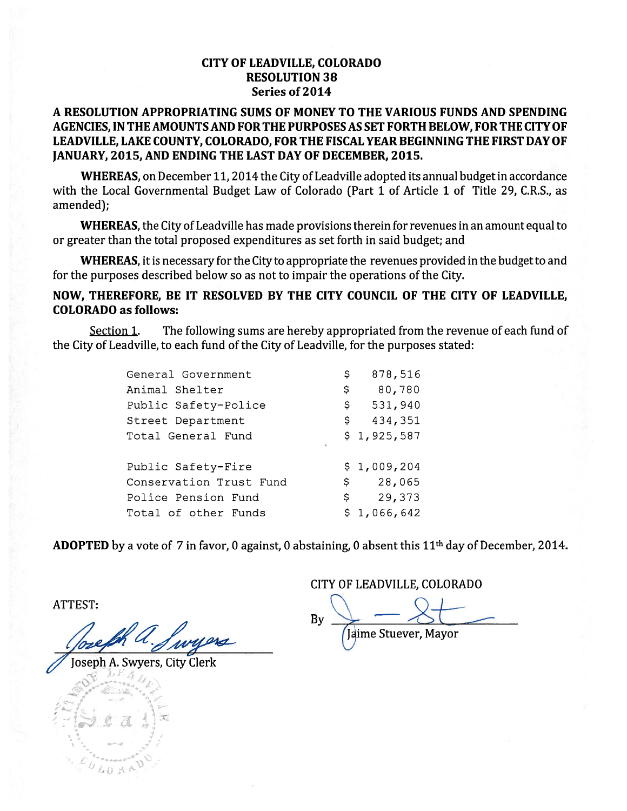### **CITY OF LEADVILLE, COLORADO RESOLUTION 38** Series of 2014

# A RESOLUTION APPROPRIATING SUMS OF MONEY TO THE VARIOUS FUNDS AND SPENDING AGENCIES, IN THE AMOUNTS AND FOR THE PURPOSES AS SET FORTH BELOW, FOR THE CITY OF LEADVILLE, LAKE COUNTY, COLORADO, FOR THE FISCAL YEAR BEGINNING THE FIRST DAY OF JANUARY, 2015, AND ENDING THE LAST DAY OF DECEMBER, 2015.

WHEREAS, on December 11, 2014 the City of Leadville adopted its annual budget in accordance with the Local Governmental Budget Law of Colorado (Part 1 of Article 1 of Title 29, C.R.S., as amended):

WHEREAS, the City of Leadville has made provisions therein for revenues in an amount equal to or greater than the total proposed expenditures as set forth in said budget; and

WHEREAS, it is necessary for the City to appropriate the revenues provided in the budget to and for the purposes described below so as not to impair the operations of the City.

# NOW, THEREFORE, BE IT RESOLVED BY THE CITY COUNCIL OF THE CITY OF LEADVILLE, **COLORADO** as follows:

Section 1. The following sums are hereby appropriated from the revenue of each fund of the City of Leadville, to each fund of the City of Leadville, for the purposes stated:

| General Government      | \$  | 878,516      |
|-------------------------|-----|--------------|
| Animal Shelter          | \$  | 80,780       |
| Public Safety-Police    | \$. | 531,940      |
| Street Department       | \$  | 434,351      |
| Total General Fund      |     | \$1,925,587  |
| Public Safety-Fire      |     | \$1,009,204  |
| Conservation Trust Fund |     | 28,065<br>\$ |
| Police Pension Fund     |     | 29,373<br>\$ |
| Total of other Funds    |     | \$1,066,642  |
|                         |     |              |

**ADOPTED** by a vote of 7 in favor, 0 against, 0 abstaining, 0 absent this  $11<sup>th</sup>$  day of December, 2014.

**ATTEST:** 

oseph A. Swyers, City Clerk

CITY OF LEADVILLE, COLORADO

By Jaime Stuever, Mayor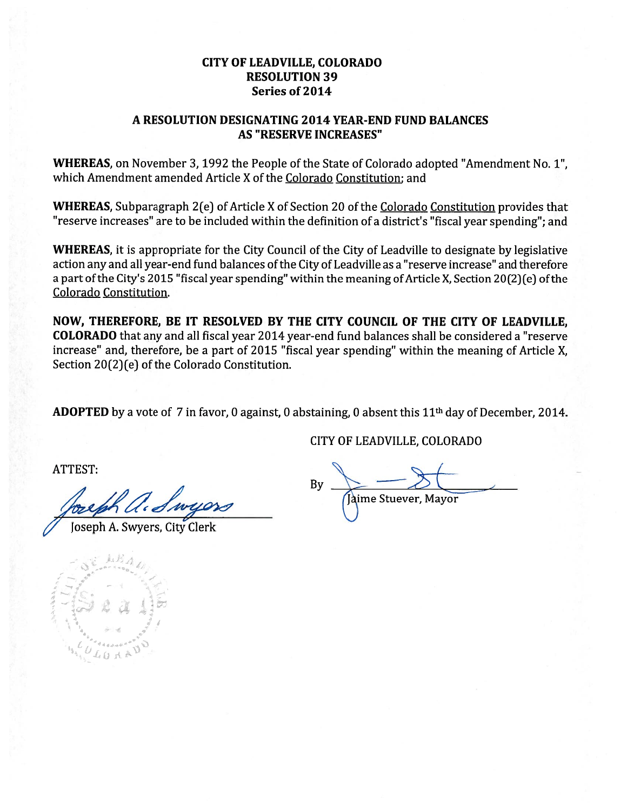# **CITY OF LEADVILLE, COLORADO RESOLUTION 39** Series of 2014

### A RESOLUTION DESIGNATING 2014 YEAR-END FUND BALANCES **AS "RESERVE INCREASES"**

WHEREAS, on November 3, 1992 the People of the State of Colorado adopted "Amendment No. 1", which Amendment amended Article X of the Colorado Constitution; and

WHEREAS, Subparagraph 2(e) of Article X of Section 20 of the Colorado Constitution provides that "reserve increases" are to be included within the definition of a district's "fiscal year spending"; and

WHEREAS, it is appropriate for the City Council of the City of Leadville to designate by legislative action any and all year-end fund balances of the City of Leadville as a "reserve increase" and therefore a part of the City's 2015 "fiscal year spending" within the meaning of Article X, Section 20(2)(e) of the Colorado Constitution.

NOW, THEREFORE, BE IT RESOLVED BY THE CITY COUNCIL OF THE CITY OF LEADVILLE, **COLORADO** that any and all fiscal year 2014 year-end fund balances shall be considered a "reserve increase" and, therefore, be a part of 2015 "fiscal year spending" within the meaning of Article X, Section 20(2)(e) of the Colorado Constitution.

**ADOPTED** by a vote of 7 in favor, 0 against, 0 abstaining, 0 absent this  $11<sup>th</sup>$  day of December, 2014.

CITY OF LEADVILLE, COLORADO

**ATTEST:** 

Joseph A. Swyers, City Clerk

laime Stuever. Mavor

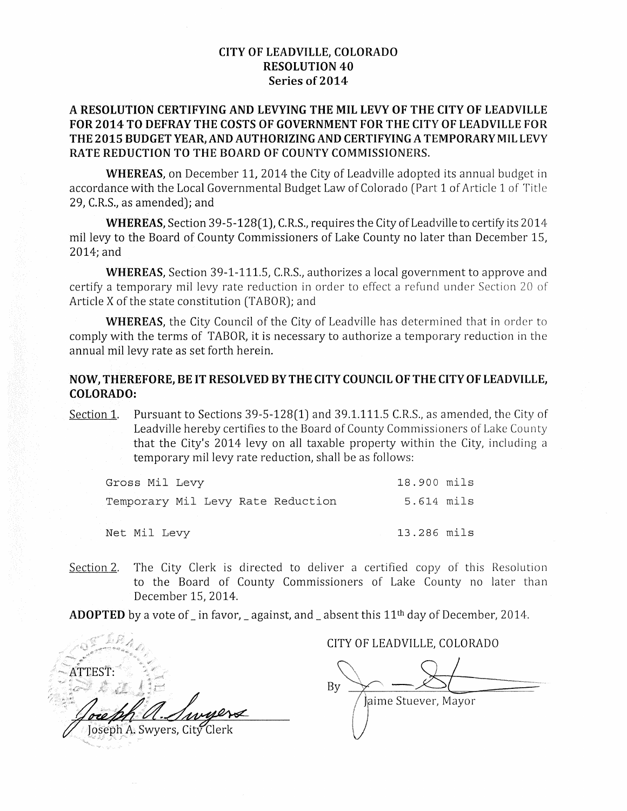### **CITY OF LEADVILLE, COLORADO RESOLUTION 40** Series of 2014

# A RESOLUTION CERTIFYING AND LEVYING THE MIL LEVY OF THE CITY OF LEADVILLE FOR 2014 TO DEFRAY THE COSTS OF GOVERNMENT FOR THE CITY OF LEADVILLE FOR THE 2015 BUDGET YEAR, AND AUTHORIZING AND CERTIFYING A TEMPORARY MILLEVY RATE REDUCTION TO THE BOARD OF COUNTY COMMISSIONERS.

**WHEREAS**, on December 11, 2014 the City of Leadville adopted its annual budget in accordance with the Local Governmental Budget Law of Colorado (Part 1 of Article 1 of Title 29, C.R.S., as amended); and

**WHEREAS, Section 39-5-128(1), C.R.S., requires the City of Leadville to certify its 2014** mil levy to the Board of County Commissioners of Lake County no later than December 15, 2014; and

**WHEREAS**, Section 39-1-111.5, C.R.S., authorizes a local government to approve and certify a temporary mil levy rate reduction in order to effect a refund under Section 20 of Article X of the state constitution (TABOR); and

WHEREAS, the City Council of the City of Leadville has determined that in order to comply with the terms of TABOR, it is necessary to authorize a temporary reduction in the annual mil levy rate as set forth herein.

## NOW, THEREFORE, BE IT RESOLVED BY THE CITY COUNCIL OF THE CITY OF LEADVILLE, **COLORADO:**

Pursuant to Sections 39-5-128(1) and 39.1.111.5 C.R.S., as amended, the City of Section 1. Leadville hereby certifies to the Board of County Commissioners of Lake County that the City's 2014 levy on all taxable property within the City, including a temporary mil levy rate reduction, shall be as follows:

| Gross Mil Levy                    | 18.900 mils |  |
|-----------------------------------|-------------|--|
| Temporary Mil Levy Rate Reduction | 5.614 mils  |  |
|                                   |             |  |
| Net Mil Levy                      | 13.286 mils |  |

The City Clerk is directed to deliver a certified copy of this Resolution Section 2. to the Board of County Commissioners of Lake County no later than December 15, 2014.

**ADOPTED** by a vote of in favor, against, and absent this  $11<sup>th</sup>$  day of December, 2014.

ATTEST: Joseph A. Swyers, City Clerk

CITY OF LEADVILLE, COLORADO

By laime Stuever, Mayor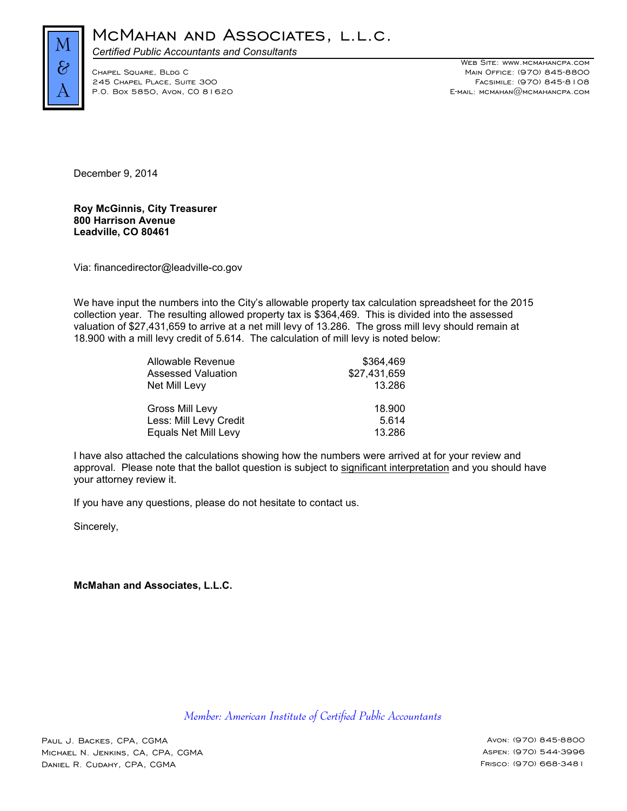

*Certified Public Accountants and Consultants*

245 CHAPEL PLACE, SUITE 300

WEB SITE: WWW.MCMAHANCPA.COM Chapel Square, Bldg C Main Office: (970) 845-8800 P.O. Box 5850, Avon, CO 81620 E-mail: mcmahan@mcmahancpa.com

December 9, 2014

**Roy McGinnis, City Treasurer 800 Harrison Avenue Leadville, CO 80461**

Via: financedirector@leadville-co.gov

We have input the numbers into the City's allowable property tax calculation spreadsheet for the 2015 collection year. The resulting allowed property tax is \$364,469. This is divided into the assessed valuation of \$27,431,659 to arrive at a net mill levy of 13.286. The gross mill levy should remain at 18.900 with a mill levy credit of 5.614. The calculation of mill levy is noted below:

| Allowable Revenue         | \$364.469    |
|---------------------------|--------------|
| <b>Assessed Valuation</b> | \$27,431,659 |
| Net Mill Levy             | 13.286       |
| Gross Mill Levy           | 18.900       |
| Less: Mill Levy Credit    | 5.614        |
| Equals Net Mill Levy      | 13.286       |

I have also attached the calculations showing how the numbers were arrived at for your review and approval. Please note that the ballot question is subject to significant interpretation and you should have your attorney review it.

If you have any questions, please do not hesitate to contact us.

Sincerely,

**McMahan and Associates, L.L.C.**

*Member: American Institute of Certified Public Accountants*

Paul J. Backes, CPA, CGMA Avon: (970) 845-8800 MICHAEL N. JENKINS, CA, CPA, CGMA Aspen: (970) 544-3996 Daniel R. Cudahy, CPA, CGMA Frisco: (970) 668-3481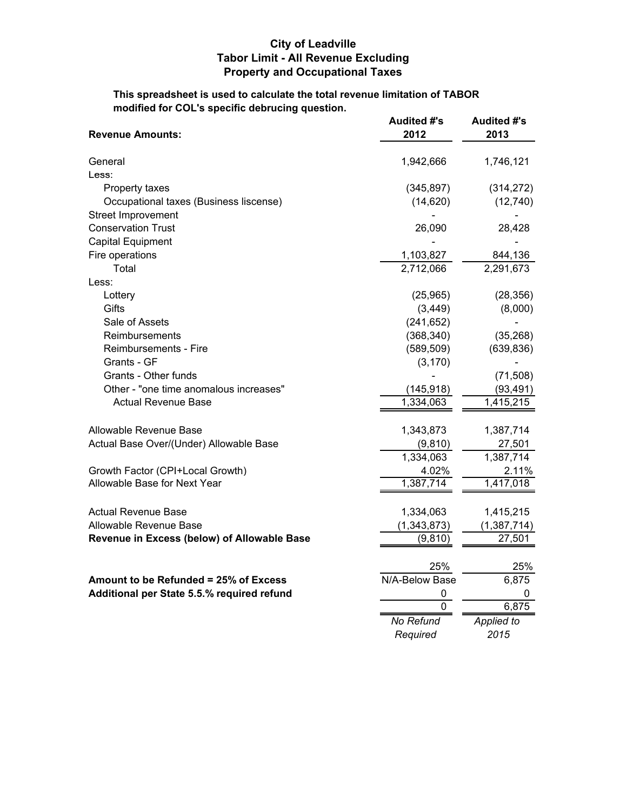# **City of Leadville Tabor Limit - All Revenue Excluding Property and Occupational Taxes**

**This spreadsheet is used to calculate the total revenue limitation of TABOR modified for COL's specific debrucing question.**

| <b>Revenue Amounts:</b>                     | <b>Audited #'s</b><br>2012 |                        |
|---------------------------------------------|----------------------------|------------------------|
|                                             |                            |                        |
| General                                     | 1,942,666                  | 1,746,121              |
| Less:                                       |                            |                        |
| Property taxes                              | (345, 897)                 | (314, 272)             |
| Occupational taxes (Business liscense)      | (14, 620)                  | (12, 740)              |
| Street Improvement                          |                            |                        |
| <b>Conservation Trust</b>                   | 26,090                     | 28,428                 |
| <b>Capital Equipment</b>                    |                            |                        |
| Fire operations                             | 1,103,827                  | 844,136                |
| Total                                       | 2,712,066                  | 2,291,673              |
| Less:                                       |                            |                        |
| Lottery                                     | (25,965)                   | (28, 356)              |
| Gifts                                       | (3, 449)                   | (8,000)                |
| Sale of Assets                              | (241, 652)                 |                        |
| Reimbursements                              | (368, 340)                 | (35, 268)              |
| Reimbursements - Fire                       | (589, 509)                 | (639, 836)             |
| Grants - GF                                 | (3, 170)                   |                        |
| Grants - Other funds                        |                            | (71, 508)              |
| Other - "one time anomalous increases"      | (145, 918)                 | (93, 491)              |
| <b>Actual Revenue Base</b>                  | 1,334,063                  | 1,415,215              |
| Allowable Revenue Base                      | 1,343,873                  | 1,387,714              |
| Actual Base Over/(Under) Allowable Base     | (9, 810)                   | 27,501                 |
|                                             | 1,334,063                  | $\overline{1,}387,714$ |
| Growth Factor (CPI+Local Growth)            | 4.02%                      | 2.11%                  |
| Allowable Base for Next Year                | 1,387,714                  | 1,417,018              |
|                                             |                            |                        |
| <b>Actual Revenue Base</b>                  | 1,334,063                  | 1,415,215              |
| Allowable Revenue Base                      | (1, 343, 873)              | (1, 387, 714)          |
| Revenue in Excess (below) of Allowable Base | (9, 810)                   | 27,501                 |
|                                             | 25%                        | 25%                    |
| Amount to be Refunded = 25% of Excess       | N/A-Below Base             | 6,875                  |
| Additional per State 5.5.% required refund  | 0                          | 0                      |
|                                             | 0                          | 6,875                  |
|                                             | No Refund                  | <b>Applied to</b>      |
|                                             | Required                   | 2015                   |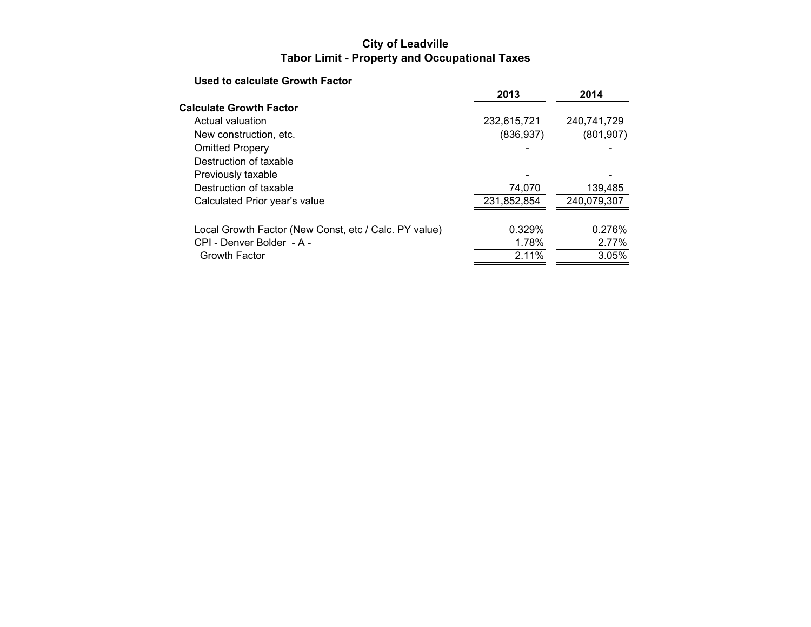# **City of Leadville Tabor Limit - Property and Occupational Taxes**

# **Used to calculate Growth Factor**

|                                                       | 2013        | 2014        |
|-------------------------------------------------------|-------------|-------------|
| <b>Calculate Growth Factor</b>                        |             |             |
| Actual valuation                                      | 232,615,721 | 240,741,729 |
| New construction, etc.                                | (836, 937)  | (801, 907)  |
| <b>Omitted Propery</b>                                |             |             |
| Destruction of taxable                                |             |             |
| Previously taxable                                    |             |             |
| Destruction of taxable                                | 74,070      | 139,485     |
| Calculated Prior year's value                         | 231,852,854 | 240,079,307 |
| Local Growth Factor (New Const, etc / Calc. PY value) | 0.329%      | 0.276%      |
| CPI - Denver Bolder - A -                             | 1.78%       | 2.77%       |
| Growth Factor                                         | 2.11%       | 3.05%       |
|                                                       |             |             |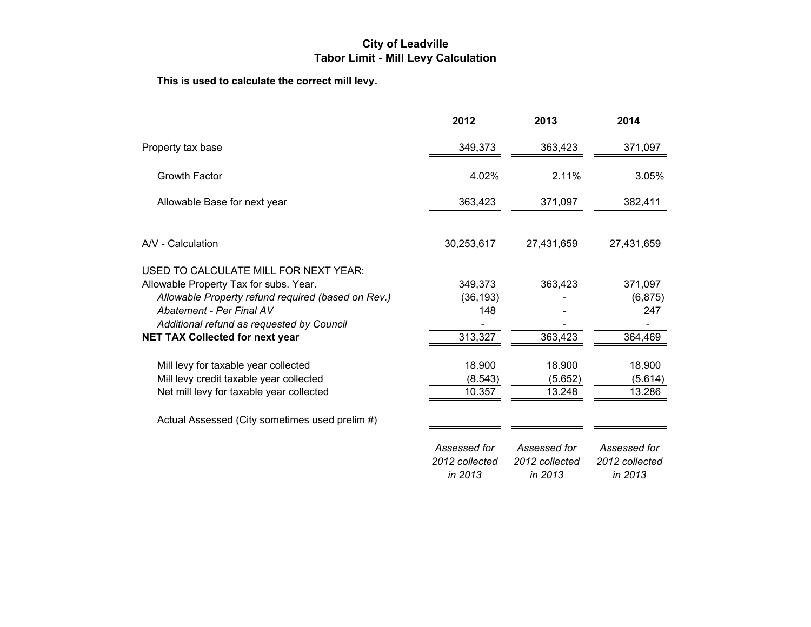# **City of Leadville Tabor Limit - Mill Levy Calculation**

**This is used to calculate the correct mill levy.**

|                                                                                                                                                                                                                                                          | 2012                                      | 2013                                      | 2014                                      |
|----------------------------------------------------------------------------------------------------------------------------------------------------------------------------------------------------------------------------------------------------------|-------------------------------------------|-------------------------------------------|-------------------------------------------|
| Property tax base                                                                                                                                                                                                                                        | 349,373                                   | 363,423                                   | 371,097                                   |
| <b>Growth Factor</b>                                                                                                                                                                                                                                     | 4.02%                                     | 2.11%                                     | 3.05%                                     |
| Allowable Base for next year                                                                                                                                                                                                                             | 363,423                                   | 371,097                                   | 382,411                                   |
| A/V - Calculation                                                                                                                                                                                                                                        | 30,253,617                                | 27,431,659                                | 27,431,659                                |
| USED TO CALCULATE MILL FOR NEXT YEAR:<br>Allowable Property Tax for subs. Year.<br>Allowable Property refund required (based on Rev.)<br>Abatement - Per Final AV<br>Additional refund as requested by Council<br><b>NET TAX Collected for next year</b> | 349,373<br>(36, 193)<br>148<br>313,327    | 363,423<br>363,423                        | 371,097<br>(6, 875)<br>247<br>364,469     |
| Mill levy for taxable year collected<br>Mill levy credit taxable year collected<br>Net mill levy for taxable year collected                                                                                                                              | 18.900<br>(8.543)<br>10.357               | 18.900<br>(5.652)<br>13.248               | 18.900<br>(5.614)<br>13.286               |
| Actual Assessed (City sometimes used prelim #)                                                                                                                                                                                                           |                                           |                                           |                                           |
|                                                                                                                                                                                                                                                          | Assessed for<br>2012 collected<br>in 2013 | Assessed for<br>2012 collected<br>in 2013 | Assessed for<br>2012 collected<br>in 2013 |